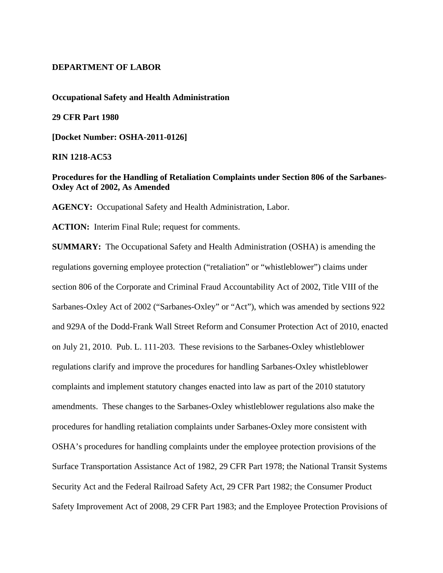## **DEPARTMENT OF LABOR**

#### **Occupational Safety and Health Administration**

#### **29 CFR Part 1980**

**[Docket Number: OSHA-2011-0126]**

#### **RIN 1218-AC53**

# **Procedures for the Handling of Retaliation Complaints under Section 806 of the Sarbanes-Oxley Act of 2002, As Amended**

**AGENCY:** Occupational Safety and Health Administration, Labor.

**ACTION:** Interim Final Rule; request for comments.

**SUMMARY:** The Occupational Safety and Health Administration (OSHA) is amending the regulations governing employee protection ("retaliation" or "whistleblower") claims under section 806 of the Corporate and Criminal Fraud Accountability Act of 2002, Title VIII of the Sarbanes-Oxley Act of 2002 ("Sarbanes-Oxley" or "Act"), which was amended by sections 922 and 929A of the Dodd-Frank Wall Street Reform and Consumer Protection Act of 2010, enacted on July 21, 2010. Pub. L. 111-203. These revisions to the Sarbanes-Oxley whistleblower regulations clarify and improve the procedures for handling Sarbanes-Oxley whistleblower complaints and implement statutory changes enacted into law as part of the 2010 statutory amendments. These changes to the Sarbanes-Oxley whistleblower regulations also make the procedures for handling retaliation complaints under Sarbanes-Oxley more consistent with OSHA's procedures for handling complaints under the employee protection provisions of the Surface Transportation Assistance Act of 1982, 29 CFR Part 1978; the National Transit Systems Security Act and the Federal Railroad Safety Act, 29 CFR Part 1982; the Consumer Product Safety Improvement Act of 2008, 29 CFR Part 1983; and the Employee Protection Provisions of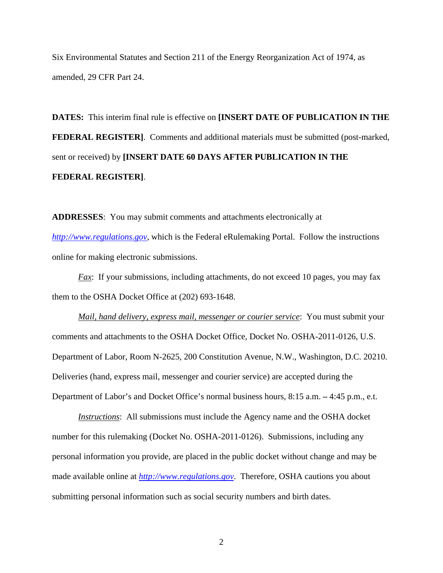Six Environmental Statutes and Section 211 of the Energy Reorganization Act of 1974, as amended, 29 CFR Part 24.

**DATES:** This interim final rule is effective on **[INSERT DATE OF PUBLICATION IN THE FEDERAL REGISTER].** Comments and additional materials must be submitted (post-marked, sent or received) by **[INSERT DATE 60 DAYS AFTER PUBLICATION IN THE FEDERAL REGISTER]**.

**ADDRESSES**: You may submit comments and attachments electronically at *http://www.regulations.gov*, which is the Federal eRulemaking Portal. Follow the instructions online for making electronic submissions.

*Fax*: If your submissions, including attachments, do not exceed 10 pages, you may fax them to the OSHA Docket Office at (202) 693-1648.

*Mail, hand delivery, express mail, messenger or courier service*: You must submit your comments and attachments to the OSHA Docket Office, Docket No. OSHA-2011-0126, U.S. Department of Labor, Room N-2625, 200 Constitution Avenue, N.W., Washington, D.C. 20210. Deliveries (hand, express mail, messenger and courier service) are accepted during the Department of Labor's and Docket Office's normal business hours, 8:15 a.m. **–** 4:45 p.m., e.t.

*Instructions*: All submissions must include the Agency name and the OSHA docket number for this rulemaking (Docket No. OSHA-2011-0126). Submissions, including any personal information you provide, are placed in the public docket without change and may be made available online at *http://www.regulations.gov*. Therefore, OSHA cautions you about submitting personal information such as social security numbers and birth dates.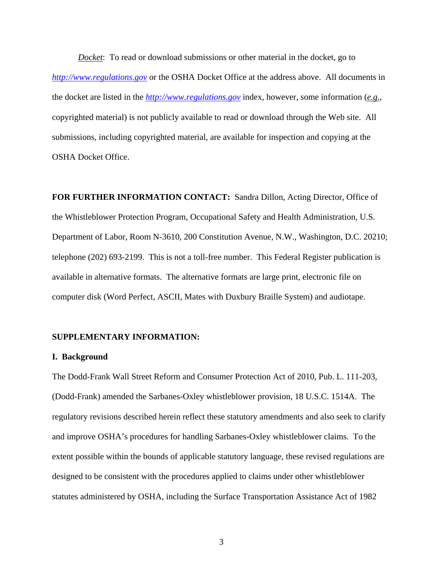*Docket*: To read or download submissions or other material in the docket, go to *http://www.regulations.gov* or the OSHA Docket Office at the address above. All documents in the docket are listed in the *http://www.regulations.gov* index, however, some information (*e.g.*, copyrighted material) is not publicly available to read or download through the Web site. All submissions, including copyrighted material, are available for inspection and copying at the OSHA Docket Office.

**FOR FURTHER INFORMATION CONTACT:** Sandra Dillon, Acting Director, Office of the Whistleblower Protection Program, Occupational Safety and Health Administration, U.S. Department of Labor, Room N-3610, 200 Constitution Avenue, N.W., Washington, D.C. 20210; telephone (202) 693-2199. This is not a toll-free number. This Federal Register publication is available in alternative formats. The alternative formats are large print, electronic file on computer disk (Word Perfect, ASCII, Mates with Duxbury Braille System) and audiotape.

# **SUPPLEMENTARY INFORMATION:**

### **I. Background**

The Dodd-Frank Wall Street Reform and Consumer Protection Act of 2010, Pub. L. 111-203, (Dodd-Frank) amended the Sarbanes-Oxley whistleblower provision, 18 U.S.C. 1514A. The regulatory revisions described herein reflect these statutory amendments and also seek to clarify and improve OSHA's procedures for handling Sarbanes-Oxley whistleblower claims. To the extent possible within the bounds of applicable statutory language, these revised regulations are designed to be consistent with the procedures applied to claims under other whistleblower statutes administered by OSHA, including the Surface Transportation Assistance Act of 1982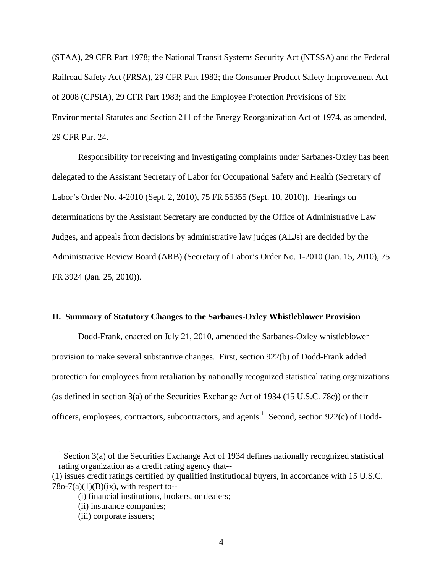(STAA), 29 CFR Part 1978; the National Transit Systems Security Act (NTSSA) and the Federal Railroad Safety Act (FRSA), 29 CFR Part 1982; the Consumer Product Safety Improvement Act of 2008 (CPSIA), 29 CFR Part 1983; and the Employee Protection Provisions of Six Environmental Statutes and Section 211 of the Energy Reorganization Act of 1974, as amended, 29 CFR Part 24.

Responsibility for receiving and investigating complaints under Sarbanes-Oxley has been delegated to the Assistant Secretary of Labor for Occupational Safety and Health (Secretary of Labor's Order No. 4-2010 (Sept. 2, 2010), 75 FR 55355 (Sept. 10, 2010)). Hearings on determinations by the Assistant Secretary are conducted by the Office of Administrative Law Judges, and appeals from decisions by administrative law judges (ALJs) are decided by the Administrative Review Board (ARB) (Secretary of Labor's Order No. 1-2010 (Jan. 15, 2010), 75 FR 3924 (Jan. 25, 2010)).

#### **II. Summary of Statutory Changes to the Sarbanes-Oxley Whistleblower Provision**

Dodd-Frank, enacted on July 21, 2010, amended the Sarbanes-Oxley whistleblower provision to make several substantive changes. First, section 922(b) of Dodd-Frank added protection for employees from retaliation by nationally recognized statistical rating organizations (as defined in section 3(a) of the Securities Exchange Act of 1934 (15 U.S.C. 78c)) or their officers, employees, contractors, subcontractors, and agents.<sup>1</sup> Second, section 922 $(c)$  of Dodd-

 <sup>1</sup> Section 3(a) of the Securities Exchange Act of 1934 defines nationally recognized statistical rating organization as a credit rating agency that--

<sup>(1)</sup> issues credit ratings certified by qualified institutional buyers, in accordance with 15 U.S.C.  $78o-7(a)(1)(B)(ix)$ , with respect to--

<sup>(</sup>i) financial institutions, brokers, or dealers;

<sup>(</sup>ii) insurance companies;

<sup>(</sup>iii) corporate issuers;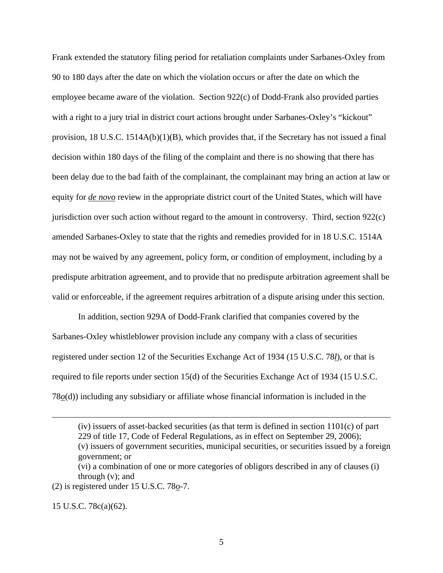Frank extended the statutory filing period for retaliation complaints under Sarbanes-Oxley from 90 to 180 days after the date on which the violation occurs or after the date on which the employee became aware of the violation. Section 922(c) of Dodd-Frank also provided parties with a right to a jury trial in district court actions brought under Sarbanes-Oxley's "kickout" provision, 18 U.S.C. 1514A(b)(1)(B), which provides that, if the Secretary has not issued a final decision within 180 days of the filing of the complaint and there is no showing that there has been delay due to the bad faith of the complainant, the complainant may bring an action at law or equity for *de novo* review in the appropriate district court of the United States, which will have jurisdiction over such action without regard to the amount in controversy. Third, section 922(c) amended Sarbanes-Oxley to state that the rights and remedies provided for in 18 U.S.C. 1514A may not be waived by any agreement, policy form, or condition of employment, including by a predispute arbitration agreement, and to provide that no predispute arbitration agreement shall be valid or enforceable, if the agreement requires arbitration of a dispute arising under this section.

In addition, section 929A of Dodd-Frank clarified that companies covered by the Sarbanes-Oxley whistleblower provision include any company with a class of securities registered under section 12 of the Securities Exchange Act of 1934 (15 U.S.C. 78*l*), or that is required to file reports under section 15(d) of the Securities Exchange Act of 1934 (15 U.S.C. 78*o*(d)) including any subsidiary or affiliate whose financial information is included in the

(vi) a combination of one or more categories of obligors described in any of clauses (i) through (v); and

(2) is registered under 15 U.S.C. 78o-7.

15 U.S.C. 78c(a)(62).

 $\overline{a}$ 

 $(iv)$  issuers of asset-backed securities (as that term is defined in section 1101 $(c)$  of part 229 of title 17, Code of Federal Regulations, as in effect on September 29, 2006); (v) issuers of government securities, municipal securities, or securities issued by a foreign government; or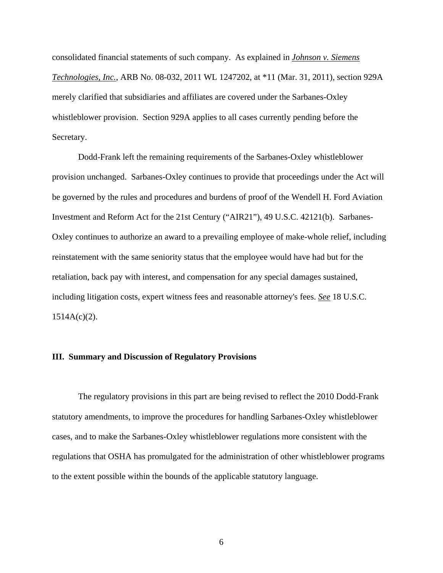consolidated financial statements of such company. As explained in *Johnson v. Siemens Technologies, Inc.*, ARB No. 08-032, 2011 WL 1247202, at \*11 (Mar. 31, 2011), section 929A merely clarified that subsidiaries and affiliates are covered under the Sarbanes-Oxley whistleblower provision. Section 929A applies to all cases currently pending before the Secretary.

Dodd-Frank left the remaining requirements of the Sarbanes-Oxley whistleblower provision unchanged. Sarbanes-Oxley continues to provide that proceedings under the Act will be governed by the rules and procedures and burdens of proof of the Wendell H. Ford Aviation Investment and Reform Act for the 21st Century ("AIR21"), 49 U.S.C. 42121(b). Sarbanes-Oxley continues to authorize an award to a prevailing employee of make-whole relief, including reinstatement with the same seniority status that the employee would have had but for the retaliation, back pay with interest, and compensation for any special damages sustained, including litigation costs, expert witness fees and reasonable attorney's fees. *See* 18 U.S.C.  $1514A(c)(2)$ .

#### **III. Summary and Discussion of Regulatory Provisions**

 The regulatory provisions in this part are being revised to reflect the 2010 Dodd-Frank statutory amendments, to improve the procedures for handling Sarbanes-Oxley whistleblower cases, and to make the Sarbanes-Oxley whistleblower regulations more consistent with the regulations that OSHA has promulgated for the administration of other whistleblower programs to the extent possible within the bounds of the applicable statutory language.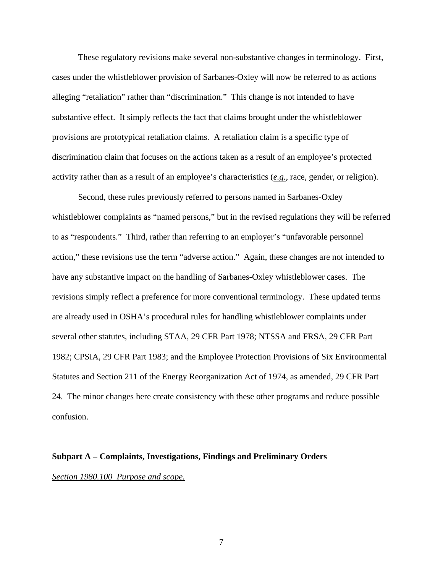These regulatory revisions make several non-substantive changes in terminology. First, cases under the whistleblower provision of Sarbanes-Oxley will now be referred to as actions alleging "retaliation" rather than "discrimination." This change is not intended to have substantive effect. It simply reflects the fact that claims brought under the whistleblower provisions are prototypical retaliation claims. A retaliation claim is a specific type of discrimination claim that focuses on the actions taken as a result of an employee's protected activity rather than as a result of an employee's characteristics (*e.g.*, race, gender, or religion).

Second, these rules previously referred to persons named in Sarbanes-Oxley whistleblower complaints as "named persons," but in the revised regulations they will be referred to as "respondents." Third, rather than referring to an employer's "unfavorable personnel action," these revisions use the term "adverse action." Again, these changes are not intended to have any substantive impact on the handling of Sarbanes-Oxley whistleblower cases. The revisions simply reflect a preference for more conventional terminology. These updated terms are already used in OSHA's procedural rules for handling whistleblower complaints under several other statutes, including STAA, 29 CFR Part 1978; NTSSA and FRSA, 29 CFR Part 1982; CPSIA, 29 CFR Part 1983; and the Employee Protection Provisions of Six Environmental Statutes and Section 211 of the Energy Reorganization Act of 1974, as amended, 29 CFR Part 24. The minor changes here create consistency with these other programs and reduce possible confusion.

# **Subpart A – Complaints, Investigations, Findings and Preliminary Orders** *Section 1980.100 Purpose and scope.*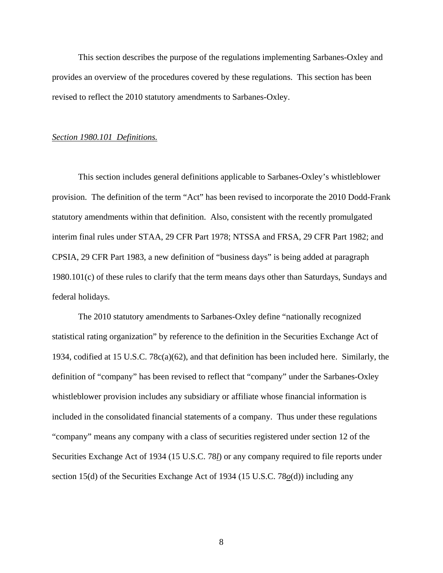This section describes the purpose of the regulations implementing Sarbanes-Oxley and provides an overview of the procedures covered by these regulations. This section has been revised to reflect the 2010 statutory amendments to Sarbanes-Oxley.

#### *Section 1980.101 Definitions.*

 This section includes general definitions applicable to Sarbanes-Oxley's whistleblower provision. The definition of the term "Act" has been revised to incorporate the 2010 Dodd-Frank statutory amendments within that definition. Also, consistent with the recently promulgated interim final rules under STAA, 29 CFR Part 1978; NTSSA and FRSA, 29 CFR Part 1982; and CPSIA, 29 CFR Part 1983, a new definition of "business days" is being added at paragraph 1980.101(c) of these rules to clarify that the term means days other than Saturdays, Sundays and federal holidays.

The 2010 statutory amendments to Sarbanes-Oxley define "nationally recognized statistical rating organization" by reference to the definition in the Securities Exchange Act of 1934, codified at 15 U.S.C. 78c(a)(62), and that definition has been included here. Similarly, the definition of "company" has been revised to reflect that "company" under the Sarbanes-Oxley whistleblower provision includes any subsidiary or affiliate whose financial information is included in the consolidated financial statements of a company. Thus under these regulations "company" means any company with a class of securities registered under section 12 of the Securities Exchange Act of 1934 (15 U.S.C. 78*l*) or any company required to file reports under section 15(d) of the Securities Exchange Act of 1934 (15 U.S.C. 78*o*(d)) including any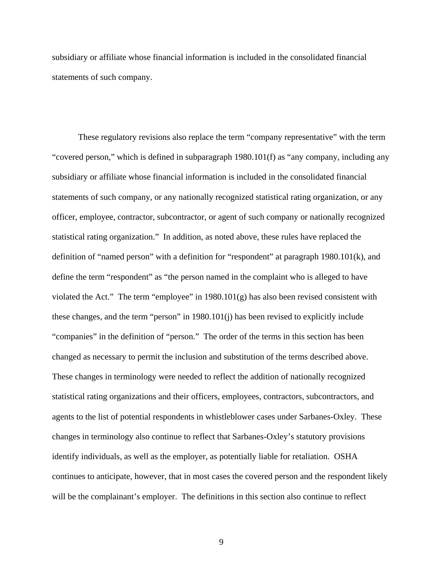subsidiary or affiliate whose financial information is included in the consolidated financial statements of such company.

These regulatory revisions also replace the term "company representative" with the term "covered person," which is defined in subparagraph 1980.101(f) as "any company, including any subsidiary or affiliate whose financial information is included in the consolidated financial statements of such company, or any nationally recognized statistical rating organization, or any officer, employee, contractor, subcontractor, or agent of such company or nationally recognized statistical rating organization." In addition, as noted above, these rules have replaced the definition of "named person" with a definition for "respondent" at paragraph 1980.101(k), and define the term "respondent" as "the person named in the complaint who is alleged to have violated the Act." The term "employee" in  $1980.101(g)$  has also been revised consistent with these changes, and the term "person" in 1980.101(j) has been revised to explicitly include "companies" in the definition of "person." The order of the terms in this section has been changed as necessary to permit the inclusion and substitution of the terms described above. These changes in terminology were needed to reflect the addition of nationally recognized statistical rating organizations and their officers, employees, contractors, subcontractors, and agents to the list of potential respondents in whistleblower cases under Sarbanes-Oxley. These changes in terminology also continue to reflect that Sarbanes-Oxley's statutory provisions identify individuals, as well as the employer, as potentially liable for retaliation. OSHA continues to anticipate, however, that in most cases the covered person and the respondent likely will be the complainant's employer. The definitions in this section also continue to reflect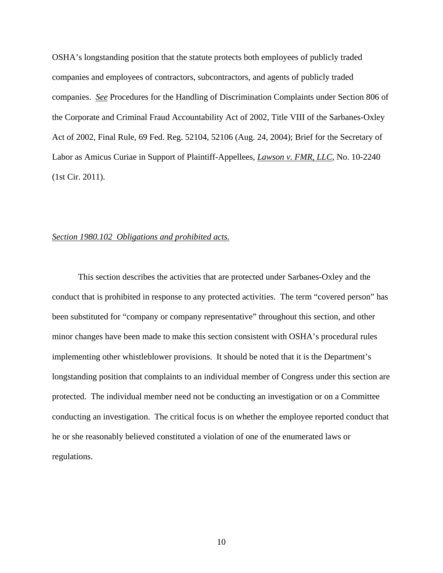OSHA's longstanding position that the statute protects both employees of publicly traded companies and employees of contractors, subcontractors, and agents of publicly traded companies. *See* Procedures for the Handling of Discrimination Complaints under Section 806 of the Corporate and Criminal Fraud Accountability Act of 2002, Title VIII of the Sarbanes-Oxley Act of 2002, Final Rule, 69 Fed. Reg. 52104, 52106 (Aug. 24, 2004); Brief for the Secretary of Labor as Amicus Curiae in Support of Plaintiff-Appellees, *Lawson v. FMR, LLC*, No. 10-2240 (1st Cir. 2011).

## *Section 1980.102 Obligations and prohibited acts.*

This section describes the activities that are protected under Sarbanes-Oxley and the conduct that is prohibited in response to any protected activities. The term "covered person" has been substituted for "company or company representative" throughout this section, and other minor changes have been made to make this section consistent with OSHA's procedural rules implementing other whistleblower provisions. It should be noted that it is the Department's longstanding position that complaints to an individual member of Congress under this section are protected. The individual member need not be conducting an investigation or on a Committee conducting an investigation. The critical focus is on whether the employee reported conduct that he or she reasonably believed constituted a violation of one of the enumerated laws or regulations.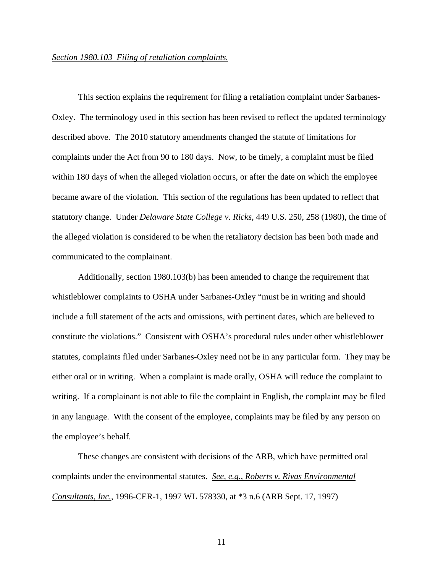## *Section 1980.103 Filing of retaliation complaints.*

 This section explains the requirement for filing a retaliation complaint under Sarbanes-Oxley. The terminology used in this section has been revised to reflect the updated terminology described above. The 2010 statutory amendments changed the statute of limitations for complaints under the Act from 90 to 180 days. Now, to be timely, a complaint must be filed within 180 days of when the alleged violation occurs, or after the date on which the employee became aware of the violation. This section of the regulations has been updated to reflect that statutory change. Under *Delaware State College v. Ricks*, 449 U.S. 250, 258 (1980), the time of the alleged violation is considered to be when the retaliatory decision has been both made and communicated to the complainant.

Additionally, section 1980.103(b) has been amended to change the requirement that whistleblower complaints to OSHA under Sarbanes-Oxley "must be in writing and should include a full statement of the acts and omissions, with pertinent dates, which are believed to constitute the violations." Consistent with OSHA's procedural rules under other whistleblower statutes, complaints filed under Sarbanes-Oxley need not be in any particular form. They may be either oral or in writing. When a complaint is made orally, OSHA will reduce the complaint to writing. If a complainant is not able to file the complaint in English, the complaint may be filed in any language. With the consent of the employee, complaints may be filed by any person on the employee's behalf.

These changes are consistent with decisions of the ARB, which have permitted oral complaints under the environmental statutes. *See, e.g., Roberts v. Rivas Environmental Consultants, Inc.*, 1996-CER-1, 1997 WL 578330, at \*3 n.6 (ARB Sept. 17, 1997)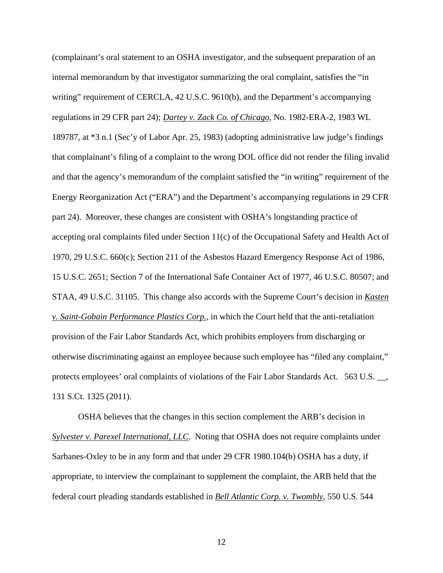(complainant's oral statement to an OSHA investigator, and the subsequent preparation of an internal memorandum by that investigator summarizing the oral complaint, satisfies the "in writing" requirement of CERCLA, 42 U.S.C. 9610(b), and the Department's accompanying regulations in 29 CFR part 24); *Dartey v. Zack Co. of Chicago*, No. 1982-ERA-2, 1983 WL 189787, at \*3 n.1 (Sec'y of Labor Apr. 25, 1983) (adopting administrative law judge's findings that complainant's filing of a complaint to the wrong DOL office did not render the filing invalid and that the agency's memorandum of the complaint satisfied the "in writing" requirement of the Energy Reorganization Act ("ERA") and the Department's accompanying regulations in 29 CFR part 24). Moreover, these changes are consistent with OSHA's longstanding practice of accepting oral complaints filed under Section 11(c) of the Occupational Safety and Health Act of 1970, 29 U.S.C. 660(c); Section 211 of the Asbestos Hazard Emergency Response Act of 1986, 15 U.S.C. 2651; Section 7 of the International Safe Container Act of 1977, 46 U.S.C. 80507; and STAA, 49 U.S.C. 31105. This change also accords with the Supreme Court's decision in *Kasten v. Saint-Gobain Performance Plastics Corp.*, in which the Court held that the anti-retaliation provision of the Fair Labor Standards Act, which prohibits employers from discharging or otherwise discriminating against an employee because such employee has "filed any complaint," protects employees' oral complaints of violations of the Fair Labor Standards Act. 563 U.S. \_\_, 131 S.Ct. 1325 (2011).

OSHA believes that the changes in this section complement the ARB's decision in *Sylvester v. Parexel International, LLC*. Noting that OSHA does not require complaints under Sarbanes-Oxley to be in any form and that under 29 CFR 1980.104(b) OSHA has a duty, if appropriate, to interview the complainant to supplement the complaint, the ARB held that the federal court pleading standards established in *Bell Atlantic Corp. v. Twombly*, 550 U.S. 544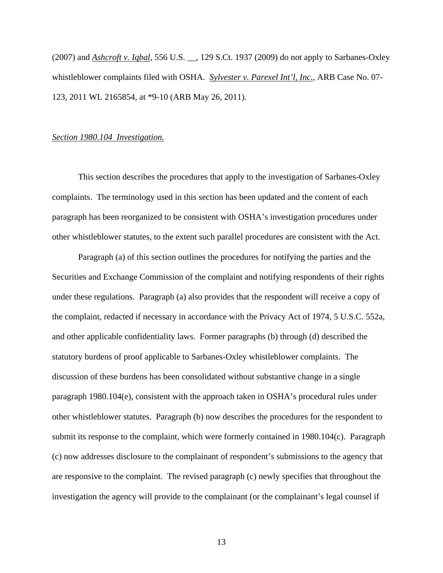(2007) and *Ashcroft v. Iqbal*, 556 U.S. \_\_, 129 S.Ct. 1937 (2009) do not apply to Sarbanes-Oxley whistleblower complaints filed with OSHA. *Sylvester v. Parexel Int'l, Inc.*, ARB Case No. 07- 123, 2011 WL 2165854, at \*9-10 (ARB May 26, 2011).

#### *Section 1980.104 Investigation.*

 This section describes the procedures that apply to the investigation of Sarbanes-Oxley complaints. The terminology used in this section has been updated and the content of each paragraph has been reorganized to be consistent with OSHA's investigation procedures under other whistleblower statutes, to the extent such parallel procedures are consistent with the Act.

Paragraph (a) of this section outlines the procedures for notifying the parties and the Securities and Exchange Commission of the complaint and notifying respondents of their rights under these regulations. Paragraph (a) also provides that the respondent will receive a copy of the complaint, redacted if necessary in accordance with the Privacy Act of 1974, 5 U.S.C. 552a, and other applicable confidentiality laws. Former paragraphs (b) through (d) described the statutory burdens of proof applicable to Sarbanes-Oxley whistleblower complaints. The discussion of these burdens has been consolidated without substantive change in a single paragraph 1980.104(e), consistent with the approach taken in OSHA's procedural rules under other whistleblower statutes. Paragraph (b) now describes the procedures for the respondent to submit its response to the complaint, which were formerly contained in 1980.104(c). Paragraph (c) now addresses disclosure to the complainant of respondent's submissions to the agency that are responsive to the complaint. The revised paragraph (c) newly specifies that throughout the investigation the agency will provide to the complainant (or the complainant's legal counsel if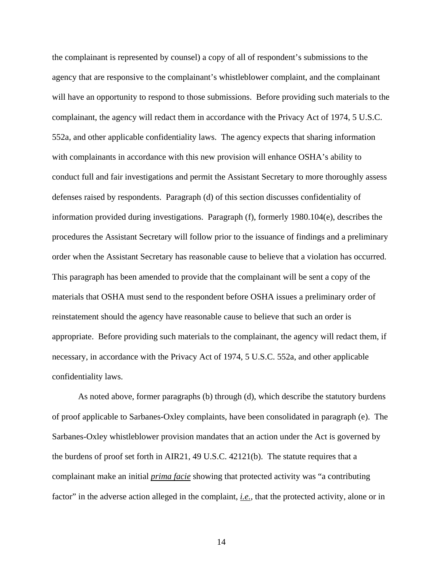the complainant is represented by counsel) a copy of all of respondent's submissions to the agency that are responsive to the complainant's whistleblower complaint, and the complainant will have an opportunity to respond to those submissions. Before providing such materials to the complainant, the agency will redact them in accordance with the Privacy Act of 1974, 5 U.S.C. 552a, and other applicable confidentiality laws. The agency expects that sharing information with complainants in accordance with this new provision will enhance OSHA's ability to conduct full and fair investigations and permit the Assistant Secretary to more thoroughly assess defenses raised by respondents. Paragraph (d) of this section discusses confidentiality of information provided during investigations. Paragraph (f), formerly 1980.104(e), describes the procedures the Assistant Secretary will follow prior to the issuance of findings and a preliminary order when the Assistant Secretary has reasonable cause to believe that a violation has occurred. This paragraph has been amended to provide that the complainant will be sent a copy of the materials that OSHA must send to the respondent before OSHA issues a preliminary order of reinstatement should the agency have reasonable cause to believe that such an order is appropriate. Before providing such materials to the complainant, the agency will redact them, if necessary, in accordance with the Privacy Act of 1974, 5 U.S.C. 552a, and other applicable confidentiality laws.

As noted above, former paragraphs (b) through (d), which describe the statutory burdens of proof applicable to Sarbanes-Oxley complaints, have been consolidated in paragraph (e). The Sarbanes-Oxley whistleblower provision mandates that an action under the Act is governed by the burdens of proof set forth in AIR21, 49 U.S.C. 42121(b). The statute requires that a complainant make an initial *prima facie* showing that protected activity was "a contributing factor" in the adverse action alleged in the complaint, *i.e.*, that the protected activity, alone or in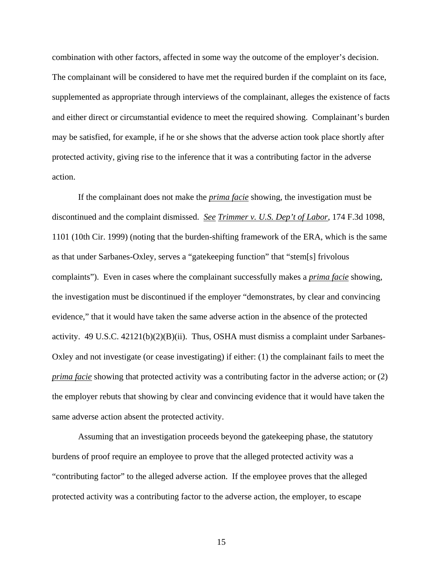combination with other factors, affected in some way the outcome of the employer's decision. The complainant will be considered to have met the required burden if the complaint on its face, supplemented as appropriate through interviews of the complainant, alleges the existence of facts and either direct or circumstantial evidence to meet the required showing. Complainant's burden may be satisfied, for example, if he or she shows that the adverse action took place shortly after protected activity, giving rise to the inference that it was a contributing factor in the adverse action.

If the complainant does not make the *prima facie* showing, the investigation must be discontinued and the complaint dismissed. *See Trimmer v. U.S. Dep't of Labor*, 174 F.3d 1098, 1101 (10th Cir. 1999) (noting that the burden-shifting framework of the ERA, which is the same as that under Sarbanes-Oxley, serves a "gatekeeping function" that "stem[s] frivolous complaints"). Even in cases where the complainant successfully makes a *prima facie* showing, the investigation must be discontinued if the employer "demonstrates, by clear and convincing evidence," that it would have taken the same adverse action in the absence of the protected activity. 49 U.S.C. 42121(b)(2)(B)(ii). Thus, OSHA must dismiss a complaint under Sarbanes-Oxley and not investigate (or cease investigating) if either: (1) the complainant fails to meet the *prima facie* showing that protected activity was a contributing factor in the adverse action; or (2) the employer rebuts that showing by clear and convincing evidence that it would have taken the same adverse action absent the protected activity.

 Assuming that an investigation proceeds beyond the gatekeeping phase, the statutory burdens of proof require an employee to prove that the alleged protected activity was a "contributing factor" to the alleged adverse action. If the employee proves that the alleged protected activity was a contributing factor to the adverse action, the employer, to escape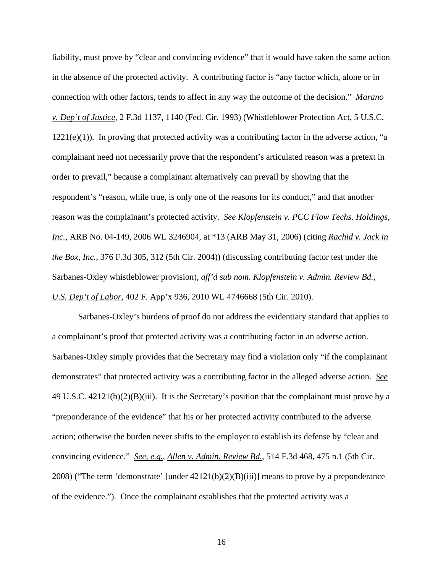liability, must prove by "clear and convincing evidence" that it would have taken the same action in the absence of the protected activity. A contributing factor is "any factor which, alone or in connection with other factors, tends to affect in any way the outcome of the decision." *Marano v. Dep't of Justice*, 2 F.3d 1137, 1140 (Fed. Cir. 1993) (Whistleblower Protection Act, 5 U.S.C.  $1221(e)(1)$ ). In proving that protected activity was a contributing factor in the adverse action, "a complainant need not necessarily prove that the respondent's articulated reason was a pretext in order to prevail," because a complainant alternatively can prevail by showing that the respondent's "reason, while true, is only one of the reasons for its conduct," and that another reason was the complainant's protected activity. *See Klopfenstein v. PCC Flow Techs. Holdings, Inc.*, ARB No. 04-149, 2006 WL 3246904, at \*13 (ARB May 31, 2006) (citing *Rachid v. Jack in the Box, Inc.*, 376 F.3d 305, 312 (5th Cir. 2004)) (discussing contributing factor test under the Sarbanes-Oxley whistleblower provision), *aff'd sub nom. Klopfenstein v. Admin. Review Bd., U.S. Dep't of Labor*, 402 F. App'x 936, 2010 WL 4746668 (5th Cir. 2010).

 Sarbanes-Oxley's burdens of proof do not address the evidentiary standard that applies to a complainant's proof that protected activity was a contributing factor in an adverse action. Sarbanes-Oxley simply provides that the Secretary may find a violation only "if the complainant demonstrates" that protected activity was a contributing factor in the alleged adverse action. *See* 49 U.S.C. 42121(b)(2)(B)(iii). It is the Secretary's position that the complainant must prove by a "preponderance of the evidence" that his or her protected activity contributed to the adverse action; otherwise the burden never shifts to the employer to establish its defense by "clear and convincing evidence." *See, e.g.*, *Allen v. Admin. Review Bd.*, 514 F.3d 468, 475 n.1 (5th Cir. 2008) ("The term 'demonstrate' [under  $42121(b)(2)(B)(iii)$ ] means to prove by a preponderance of the evidence."). Once the complainant establishes that the protected activity was a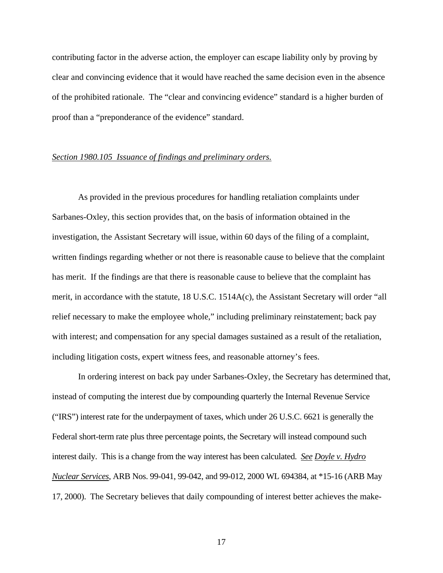contributing factor in the adverse action, the employer can escape liability only by proving by clear and convincing evidence that it would have reached the same decision even in the absence of the prohibited rationale. The "clear and convincing evidence" standard is a higher burden of proof than a "preponderance of the evidence" standard.

#### *Section 1980.105 Issuance of findings and preliminary orders.*

As provided in the previous procedures for handling retaliation complaints under Sarbanes-Oxley, this section provides that, on the basis of information obtained in the investigation, the Assistant Secretary will issue, within 60 days of the filing of a complaint, written findings regarding whether or not there is reasonable cause to believe that the complaint has merit. If the findings are that there is reasonable cause to believe that the complaint has merit, in accordance with the statute, 18 U.S.C. 1514A(c), the Assistant Secretary will order "all relief necessary to make the employee whole," including preliminary reinstatement; back pay with interest; and compensation for any special damages sustained as a result of the retaliation, including litigation costs, expert witness fees, and reasonable attorney's fees.

In ordering interest on back pay under Sarbanes-Oxley, the Secretary has determined that, instead of computing the interest due by compounding quarterly the Internal Revenue Service ("IRS") interest rate for the underpayment of taxes, which under 26 U.S.C. 6621 is generally the Federal short-term rate plus three percentage points, the Secretary will instead compound such interest daily. This is a change from the way interest has been calculated. *See Doyle v. Hydro Nuclear Services*, ARB Nos. 99-041, 99-042, and 99-012, 2000 WL 694384, at \*15-16 (ARB May 17, 2000). The Secretary believes that daily compounding of interest better achieves the make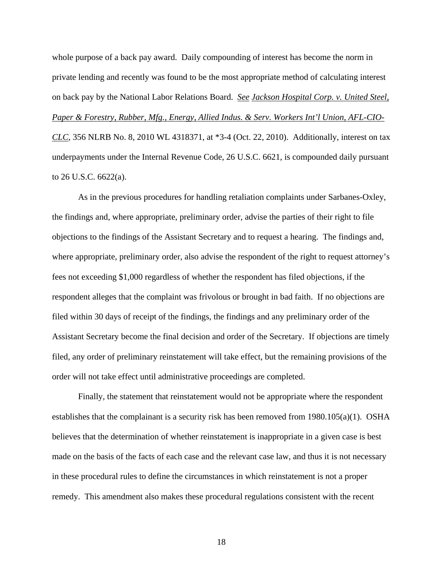whole purpose of a back pay award. Daily compounding of interest has become the norm in private lending and recently was found to be the most appropriate method of calculating interest on back pay by the National Labor Relations Board. *See Jackson Hospital Corp. v. United Steel, Paper & Forestry, Rubber, Mfg., Energy, Allied Indus. & Serv. Workers Int'l Union, AFL-CIO-CLC*, 356 NLRB No. 8, 2010 WL 4318371, at \*3-4 (Oct. 22, 2010). Additionally, interest on tax underpayments under the Internal Revenue Code, 26 U.S.C. 6621, is compounded daily pursuant to 26 U.S.C. 6622(a).

As in the previous procedures for handling retaliation complaints under Sarbanes-Oxley, the findings and, where appropriate, preliminary order, advise the parties of their right to file objections to the findings of the Assistant Secretary and to request a hearing. The findings and, where appropriate, preliminary order, also advise the respondent of the right to request attorney's fees not exceeding \$1,000 regardless of whether the respondent has filed objections, if the respondent alleges that the complaint was frivolous or brought in bad faith. If no objections are filed within 30 days of receipt of the findings, the findings and any preliminary order of the Assistant Secretary become the final decision and order of the Secretary. If objections are timely filed, any order of preliminary reinstatement will take effect, but the remaining provisions of the order will not take effect until administrative proceedings are completed.

Finally, the statement that reinstatement would not be appropriate where the respondent establishes that the complainant is a security risk has been removed from 1980.105(a)(1). OSHA believes that the determination of whether reinstatement is inappropriate in a given case is best made on the basis of the facts of each case and the relevant case law, and thus it is not necessary in these procedural rules to define the circumstances in which reinstatement is not a proper remedy. This amendment also makes these procedural regulations consistent with the recent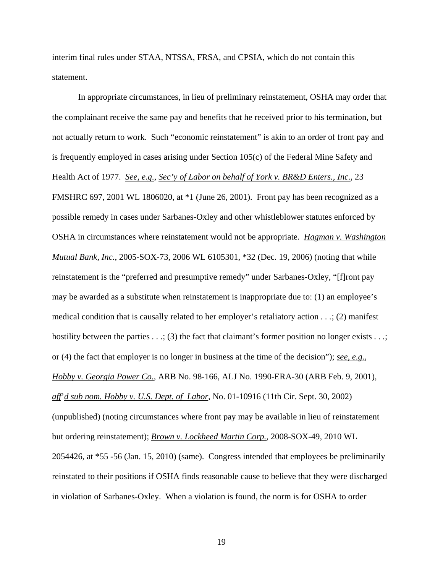interim final rules under STAA, NTSSA, FRSA, and CPSIA, which do not contain this statement.

In appropriate circumstances, in lieu of preliminary reinstatement, OSHA may order that the complainant receive the same pay and benefits that he received prior to his termination, but not actually return to work. Such "economic reinstatement" is akin to an order of front pay and is frequently employed in cases arising under Section 105(c) of the Federal Mine Safety and Health Act of 1977. *See, e.g.*, *Sec'y of Labor on behalf of York v. BR&D Enters., Inc.*, 23 FMSHRC 697, 2001 WL 1806020, at \*1 (June 26, 2001). Front pay has been recognized as a possible remedy in cases under Sarbanes-Oxley and other whistleblower statutes enforced by OSHA in circumstances where reinstatement would not be appropriate. *Hagman v. Washington Mutual Bank, Inc.*, 2005-SOX-73, 2006 WL 6105301, \*32 (Dec. 19, 2006) (noting that while reinstatement is the "preferred and presumptive remedy" under Sarbanes-Oxley, "[f]ront pay may be awarded as a substitute when reinstatement is inappropriate due to: (1) an employee's medical condition that is causally related to her employer's retaliatory action *. . .*; (2) manifest hostility between the parties  $\dots$ ; (3) the fact that claimant's former position no longer exists  $\dots$ ; or (4) the fact that employer is no longer in business at the time of the decision"); *see, e.g.*, *Hobby v. Georgia Power Co.*, ARB No. 98-166, ALJ No. 1990-ERA-30 (ARB Feb. 9, 2001), *aff*'*d sub nom. Hobby v. U.S. Dept. of Labor*, No. 01-10916 (11th Cir. Sept. 30, 2002) (unpublished) (noting circumstances where front pay may be available in lieu of reinstatement but ordering reinstatement); *Brown v. Lockheed Martin Corp.*, 2008-SOX-49, 2010 WL 2054426, at \*55 -56 (Jan. 15, 2010) (same). Congress intended that employees be preliminarily reinstated to their positions if OSHA finds reasonable cause to believe that they were discharged in violation of Sarbanes-Oxley. When a violation is found, the norm is for OSHA to order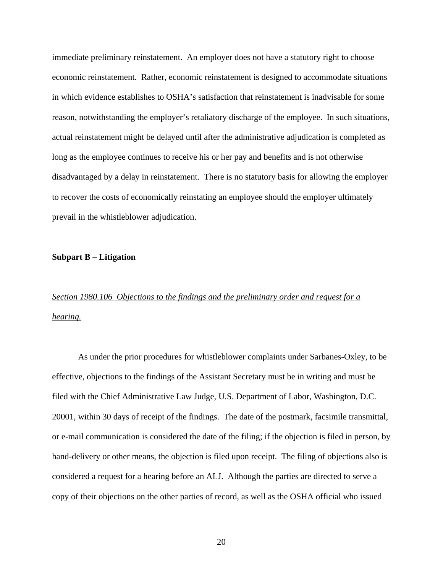immediate preliminary reinstatement. An employer does not have a statutory right to choose economic reinstatement. Rather, economic reinstatement is designed to accommodate situations in which evidence establishes to OSHA's satisfaction that reinstatement is inadvisable for some reason, notwithstanding the employer's retaliatory discharge of the employee. In such situations, actual reinstatement might be delayed until after the administrative adjudication is completed as long as the employee continues to receive his or her pay and benefits and is not otherwise disadvantaged by a delay in reinstatement. There is no statutory basis for allowing the employer to recover the costs of economically reinstating an employee should the employer ultimately prevail in the whistleblower adjudication.

#### **Subpart B – Litigation**

# *Section 1980.106 Objections to the findings and the preliminary order and request for a hearing.*

 As under the prior procedures for whistleblower complaints under Sarbanes-Oxley, to be effective, objections to the findings of the Assistant Secretary must be in writing and must be filed with the Chief Administrative Law Judge, U.S. Department of Labor, Washington, D.C. 20001, within 30 days of receipt of the findings. The date of the postmark, facsimile transmittal, or e-mail communication is considered the date of the filing; if the objection is filed in person, by hand-delivery or other means, the objection is filed upon receipt. The filing of objections also is considered a request for a hearing before an ALJ. Although the parties are directed to serve a copy of their objections on the other parties of record, as well as the OSHA official who issued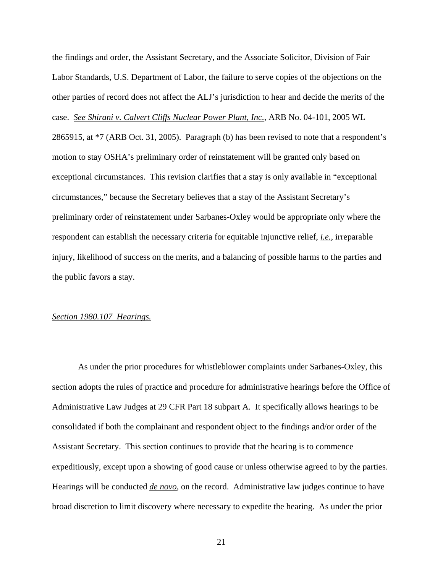the findings and order, the Assistant Secretary, and the Associate Solicitor, Division of Fair Labor Standards, U.S. Department of Labor, the failure to serve copies of the objections on the other parties of record does not affect the ALJ's jurisdiction to hear and decide the merits of the case. *See Shirani v. Calvert Cliffs Nuclear Power Plant, Inc.*, ARB No. 04-101, 2005 WL 2865915, at \*7 (ARB Oct. 31, 2005). Paragraph (b) has been revised to note that a respondent's motion to stay OSHA's preliminary order of reinstatement will be granted only based on exceptional circumstances. This revision clarifies that a stay is only available in "exceptional circumstances," because the Secretary believes that a stay of the Assistant Secretary's preliminary order of reinstatement under Sarbanes-Oxley would be appropriate only where the respondent can establish the necessary criteria for equitable injunctive relief, *i.e.*, irreparable injury, likelihood of success on the merits, and a balancing of possible harms to the parties and the public favors a stay.

#### *Section 1980.107 Hearings.*

 As under the prior procedures for whistleblower complaints under Sarbanes-Oxley, this section adopts the rules of practice and procedure for administrative hearings before the Office of Administrative Law Judges at 29 CFR Part 18 subpart A. It specifically allows hearings to be consolidated if both the complainant and respondent object to the findings and/or order of the Assistant Secretary. This section continues to provide that the hearing is to commence expeditiously, except upon a showing of good cause or unless otherwise agreed to by the parties. Hearings will be conducted *de novo*, on the record. Administrative law judges continue to have broad discretion to limit discovery where necessary to expedite the hearing. As under the prior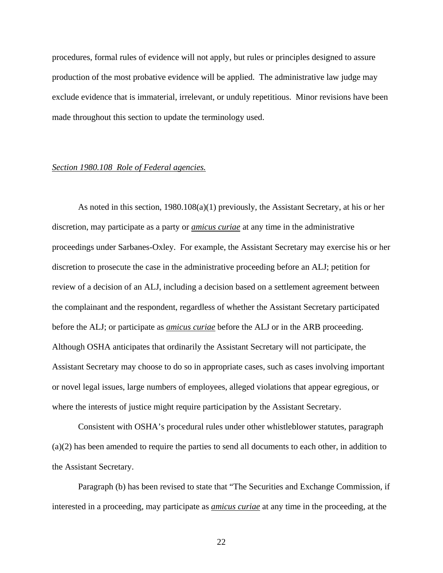procedures, formal rules of evidence will not apply, but rules or principles designed to assure production of the most probative evidence will be applied. The administrative law judge may exclude evidence that is immaterial, irrelevant, or unduly repetitious. Minor revisions have been made throughout this section to update the terminology used.

# *Section 1980.108 Role of Federal agencies.*

 As noted in this section, 1980.108(a)(1) previously, the Assistant Secretary, at his or her discretion, may participate as a party or *amicus curiae* at any time in the administrative proceedings under Sarbanes-Oxley. For example, the Assistant Secretary may exercise his or her discretion to prosecute the case in the administrative proceeding before an ALJ; petition for review of a decision of an ALJ, including a decision based on a settlement agreement between the complainant and the respondent, regardless of whether the Assistant Secretary participated before the ALJ; or participate as *amicus curiae* before the ALJ or in the ARB proceeding. Although OSHA anticipates that ordinarily the Assistant Secretary will not participate, the Assistant Secretary may choose to do so in appropriate cases, such as cases involving important or novel legal issues, large numbers of employees, alleged violations that appear egregious, or where the interests of justice might require participation by the Assistant Secretary.

Consistent with OSHA's procedural rules under other whistleblower statutes, paragraph (a)(2) has been amended to require the parties to send all documents to each other, in addition to the Assistant Secretary.

Paragraph (b) has been revised to state that "The Securities and Exchange Commission, if interested in a proceeding, may participate as *amicus curiae* at any time in the proceeding, at the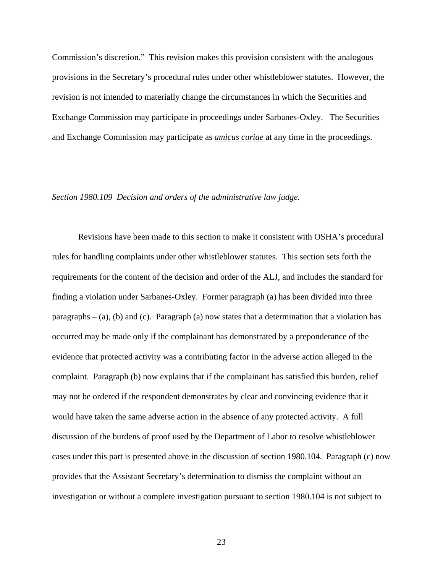Commission's discretion." This revision makes this provision consistent with the analogous provisions in the Secretary's procedural rules under other whistleblower statutes. However, the revision is not intended to materially change the circumstances in which the Securities and Exchange Commission may participate in proceedings under Sarbanes-Oxley. The Securities and Exchange Commission may participate as *amicus curiae* at any time in the proceedings.

# *Section 1980.109 Decision and orders of the administrative law judge.*

 Revisions have been made to this section to make it consistent with OSHA's procedural rules for handling complaints under other whistleblower statutes. This section sets forth the requirements for the content of the decision and order of the ALJ, and includes the standard for finding a violation under Sarbanes-Oxley. Former paragraph (a) has been divided into three paragraphs  $-$  (a), (b) and (c). Paragraph (a) now states that a determination that a violation has occurred may be made only if the complainant has demonstrated by a preponderance of the evidence that protected activity was a contributing factor in the adverse action alleged in the complaint. Paragraph (b) now explains that if the complainant has satisfied this burden, relief may not be ordered if the respondent demonstrates by clear and convincing evidence that it would have taken the same adverse action in the absence of any protected activity. A full discussion of the burdens of proof used by the Department of Labor to resolve whistleblower cases under this part is presented above in the discussion of section 1980.104. Paragraph (c) now provides that the Assistant Secretary's determination to dismiss the complaint without an investigation or without a complete investigation pursuant to section 1980.104 is not subject to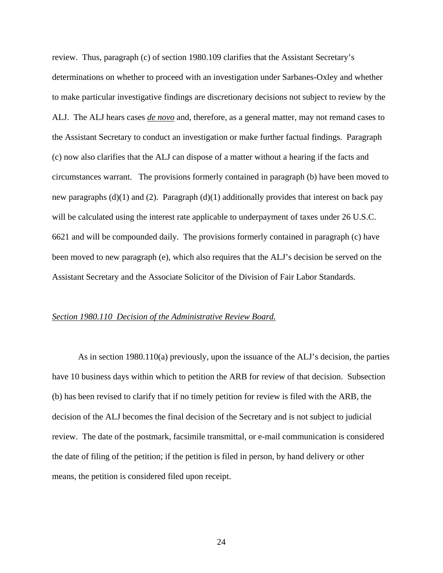review. Thus, paragraph (c) of section 1980.109 clarifies that the Assistant Secretary's determinations on whether to proceed with an investigation under Sarbanes-Oxley and whether to make particular investigative findings are discretionary decisions not subject to review by the ALJ. The ALJ hears cases *de novo* and, therefore, as a general matter, may not remand cases to the Assistant Secretary to conduct an investigation or make further factual findings. Paragraph (c) now also clarifies that the ALJ can dispose of a matter without a hearing if the facts and circumstances warrant. The provisions formerly contained in paragraph (b) have been moved to new paragraphs  $(d)(1)$  and  $(2)$ . Paragraph  $(d)(1)$  additionally provides that interest on back pay will be calculated using the interest rate applicable to underpayment of taxes under 26 U.S.C. 6621 and will be compounded daily. The provisions formerly contained in paragraph (c) have been moved to new paragraph (e), which also requires that the ALJ's decision be served on the Assistant Secretary and the Associate Solicitor of the Division of Fair Labor Standards.

## *Section 1980.110 Decision of the Administrative Review Board.*

 As in section 1980.110(a) previously, upon the issuance of the ALJ's decision, the parties have 10 business days within which to petition the ARB for review of that decision. Subsection (b) has been revised to clarify that if no timely petition for review is filed with the ARB, the decision of the ALJ becomes the final decision of the Secretary and is not subject to judicial review. The date of the postmark, facsimile transmittal, or e-mail communication is considered the date of filing of the petition; if the petition is filed in person, by hand delivery or other means, the petition is considered filed upon receipt.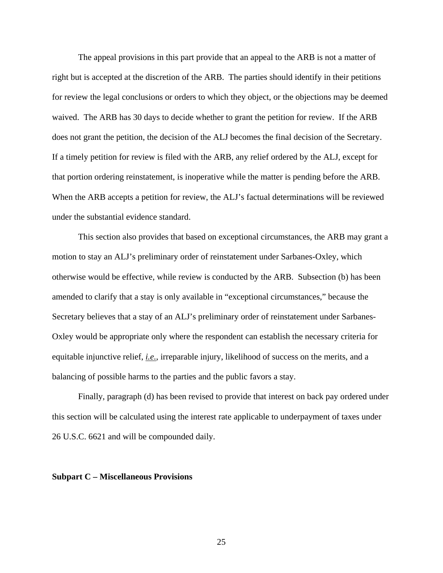The appeal provisions in this part provide that an appeal to the ARB is not a matter of right but is accepted at the discretion of the ARB. The parties should identify in their petitions for review the legal conclusions or orders to which they object, or the objections may be deemed waived. The ARB has 30 days to decide whether to grant the petition for review. If the ARB does not grant the petition, the decision of the ALJ becomes the final decision of the Secretary. If a timely petition for review is filed with the ARB, any relief ordered by the ALJ, except for that portion ordering reinstatement, is inoperative while the matter is pending before the ARB. When the ARB accepts a petition for review, the ALJ's factual determinations will be reviewed under the substantial evidence standard.

 This section also provides that based on exceptional circumstances, the ARB may grant a motion to stay an ALJ's preliminary order of reinstatement under Sarbanes-Oxley, which otherwise would be effective, while review is conducted by the ARB. Subsection (b) has been amended to clarify that a stay is only available in "exceptional circumstances," because the Secretary believes that a stay of an ALJ's preliminary order of reinstatement under Sarbanes-Oxley would be appropriate only where the respondent can establish the necessary criteria for equitable injunctive relief, *i.e.*, irreparable injury, likelihood of success on the merits, and a balancing of possible harms to the parties and the public favors a stay.

 Finally, paragraph (d) has been revised to provide that interest on back pay ordered under this section will be calculated using the interest rate applicable to underpayment of taxes under 26 U.S.C. 6621 and will be compounded daily.

#### **Subpart C – Miscellaneous Provisions**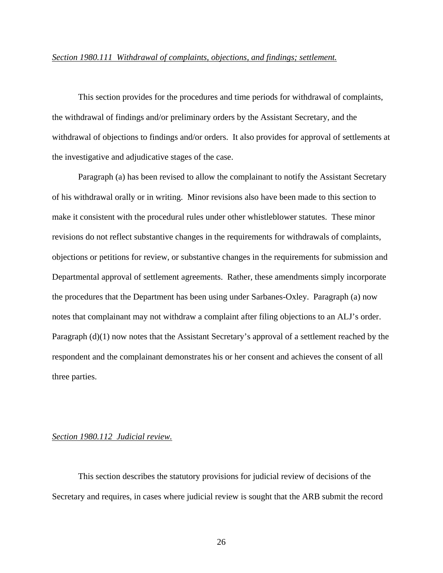#### *Section 1980.111 Withdrawal of complaints, objections, and findings; settlement.*

 This section provides for the procedures and time periods for withdrawal of complaints, the withdrawal of findings and/or preliminary orders by the Assistant Secretary, and the withdrawal of objections to findings and/or orders. It also provides for approval of settlements at the investigative and adjudicative stages of the case.

 Paragraph (a) has been revised to allow the complainant to notify the Assistant Secretary of his withdrawal orally or in writing. Minor revisions also have been made to this section to make it consistent with the procedural rules under other whistleblower statutes. These minor revisions do not reflect substantive changes in the requirements for withdrawals of complaints, objections or petitions for review, or substantive changes in the requirements for submission and Departmental approval of settlement agreements. Rather, these amendments simply incorporate the procedures that the Department has been using under Sarbanes-Oxley. Paragraph (a) now notes that complainant may not withdraw a complaint after filing objections to an ALJ's order. Paragraph (d)(1) now notes that the Assistant Secretary's approval of a settlement reached by the respondent and the complainant demonstrates his or her consent and achieves the consent of all three parties.

# *Section 1980.112 Judicial review.*

 This section describes the statutory provisions for judicial review of decisions of the Secretary and requires, in cases where judicial review is sought that the ARB submit the record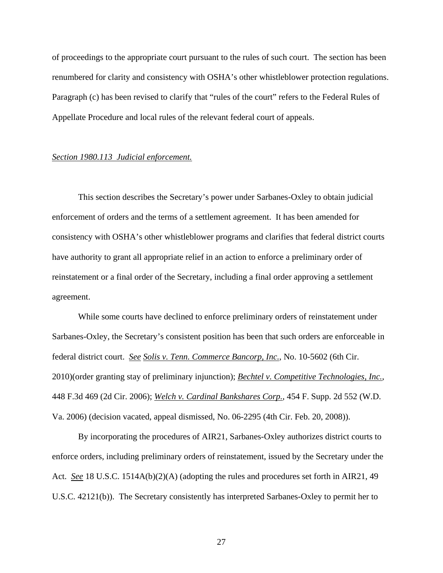of proceedings to the appropriate court pursuant to the rules of such court. The section has been renumbered for clarity and consistency with OSHA's other whistleblower protection regulations. Paragraph (c) has been revised to clarify that "rules of the court" refers to the Federal Rules of Appellate Procedure and local rules of the relevant federal court of appeals.

#### *Section 1980.113 Judicial enforcement.*

 This section describes the Secretary's power under Sarbanes-Oxley to obtain judicial enforcement of orders and the terms of a settlement agreement. It has been amended for consistency with OSHA's other whistleblower programs and clarifies that federal district courts have authority to grant all appropriate relief in an action to enforce a preliminary order of reinstatement or a final order of the Secretary, including a final order approving a settlement agreement.

 While some courts have declined to enforce preliminary orders of reinstatement under Sarbanes-Oxley, the Secretary's consistent position has been that such orders are enforceable in federal district court. *See Solis v. Tenn. Commerce Bancorp, Inc.*, No. 10-5602 (6th Cir. 2010)(order granting stay of preliminary injunction); *Bechtel v. Competitive Technologies, Inc.*, 448 F.3d 469 (2d Cir. 2006); *Welch v. Cardinal Bankshares Corp.*, 454 F. Supp. 2d 552 (W.D. Va. 2006) (decision vacated, appeal dismissed, No. 06-2295 (4th Cir. Feb. 20, 2008)).

By incorporating the procedures of AIR21, Sarbanes-Oxley authorizes district courts to enforce orders, including preliminary orders of reinstatement, issued by the Secretary under the Act. *See* 18 U.S.C. 1514A(b)(2)(A) (adopting the rules and procedures set forth in AIR21, 49 U.S.C. 42121(b)). The Secretary consistently has interpreted Sarbanes-Oxley to permit her to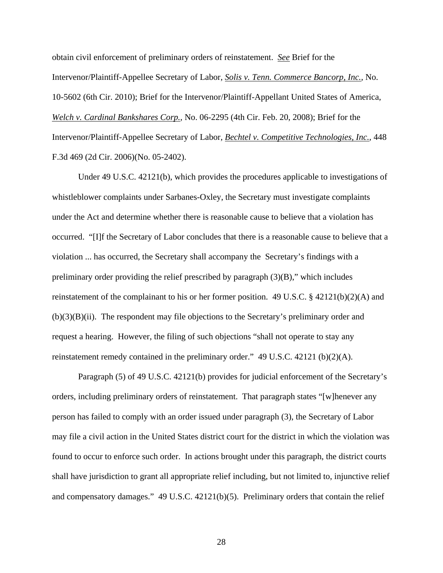obtain civil enforcement of preliminary orders of reinstatement. *See* Brief for the Intervenor/Plaintiff-Appellee Secretary of Labor, *Solis v. Tenn. Commerce Bancorp, Inc.*, No. 10-5602 (6th Cir. 2010); Brief for the Intervenor/Plaintiff-Appellant United States of America, *Welch v. Cardinal Bankshares Corp.*, No. 06-2295 (4th Cir. Feb. 20, 2008); Brief for the Intervenor/Plaintiff-Appellee Secretary of Labor, *Bechtel v. Competitive Technologies, Inc.*, 448 F.3d 469 (2d Cir. 2006)(No. 05-2402).

Under 49 U.S.C. 42121(b), which provides the procedures applicable to investigations of whistleblower complaints under Sarbanes-Oxley, the Secretary must investigate complaints under the Act and determine whether there is reasonable cause to believe that a violation has occurred. "[I]f the Secretary of Labor concludes that there is a reasonable cause to believe that a violation ... has occurred, the Secretary shall accompany the Secretary's findings with a preliminary order providing the relief prescribed by paragraph (3)(B)," which includes reinstatement of the complainant to his or her former position. 49 U.S.C. § 42121(b)(2)(A) and (b)(3)(B)(ii). The respondent may file objections to the Secretary's preliminary order and request a hearing. However, the filing of such objections "shall not operate to stay any reinstatement remedy contained in the preliminary order." 49 U.S.C. 42121 (b)(2)(A).

Paragraph (5) of 49 U.S.C. 42121(b) provides for judicial enforcement of the Secretary's orders, including preliminary orders of reinstatement. That paragraph states "[w]henever any person has failed to comply with an order issued under paragraph (3), the Secretary of Labor may file a civil action in the United States district court for the district in which the violation was found to occur to enforce such order. In actions brought under this paragraph, the district courts shall have jurisdiction to grant all appropriate relief including, but not limited to, injunctive relief and compensatory damages." 49 U.S.C. 42121(b)(5). Preliminary orders that contain the relief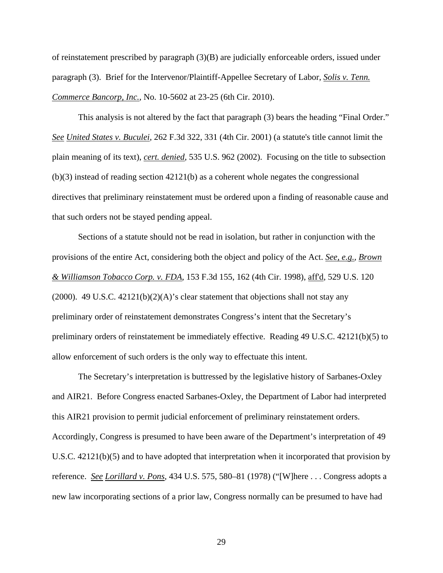of reinstatement prescribed by paragraph (3)(B) are judicially enforceable orders, issued under paragraph (3). Brief for the Intervenor/Plaintiff-Appellee Secretary of Labor, *Solis v. Tenn. Commerce Bancorp, Inc.*, No. 10-5602 at 23-25 (6th Cir. 2010).

This analysis is not altered by the fact that paragraph (3) bears the heading "Final Order." *See United States v. Buculei*, 262 F.3d 322, 331 (4th Cir. 2001) (a statute's title cannot limit the plain meaning of its text), *cert. denied*, 535 U.S. 962 (2002). Focusing on the title to subsection (b)(3) instead of reading section 42121(b) as a coherent whole negates the congressional directives that preliminary reinstatement must be ordered upon a finding of reasonable cause and that such orders not be stayed pending appeal.

Sections of a statute should not be read in isolation, but rather in conjunction with the provisions of the entire Act, considering both the object and policy of the Act. *See, e.g., Brown & Williamson Tobacco Corp. v. FDA*, 153 F.3d 155, 162 (4th Cir. 1998), aff'd, 529 U.S. 120 (2000). 49 U.S.C.  $42121(b)(2)(A)$ 's clear statement that objections shall not stay any preliminary order of reinstatement demonstrates Congress's intent that the Secretary's preliminary orders of reinstatement be immediately effective. Reading 49 U.S.C. 42121(b)(5) to allow enforcement of such orders is the only way to effectuate this intent.

The Secretary's interpretation is buttressed by the legislative history of Sarbanes-Oxley and AIR21. Before Congress enacted Sarbanes-Oxley, the Department of Labor had interpreted this AIR21 provision to permit judicial enforcement of preliminary reinstatement orders. Accordingly, Congress is presumed to have been aware of the Department's interpretation of 49 U.S.C. 42121(b)(5) and to have adopted that interpretation when it incorporated that provision by reference. *See Lorillard v. Pons*, 434 U.S. 575, 580–81 (1978) ("[W]here . . . Congress adopts a new law incorporating sections of a prior law, Congress normally can be presumed to have had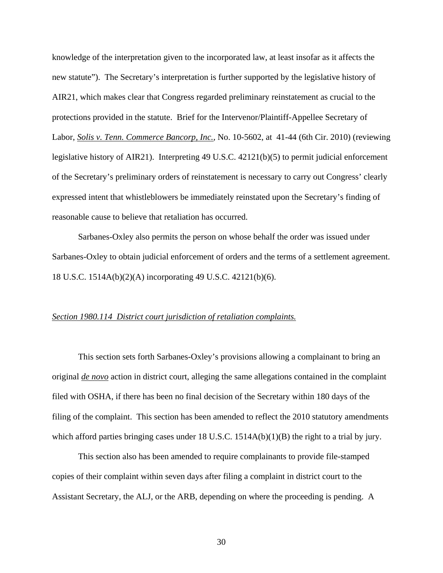knowledge of the interpretation given to the incorporated law, at least insofar as it affects the new statute"). The Secretary's interpretation is further supported by the legislative history of AIR21, which makes clear that Congress regarded preliminary reinstatement as crucial to the protections provided in the statute. Brief for the Intervenor/Plaintiff-Appellee Secretary of Labor, *Solis v. Tenn. Commerce Bancorp, Inc.*, No. 10-5602, at 41-44 (6th Cir. 2010) (reviewing legislative history of AIR21).Interpreting 49 U.S.C. 42121(b)(5) to permit judicial enforcement of the Secretary's preliminary orders of reinstatement is necessary to carry out Congress' clearly expressed intent that whistleblowers be immediately reinstated upon the Secretary's finding of reasonable cause to believe that retaliation has occurred.

Sarbanes-Oxley also permits the person on whose behalf the order was issued under Sarbanes-Oxley to obtain judicial enforcement of orders and the terms of a settlement agreement. 18 U.S.C. 1514A(b)(2)(A) incorporating 49 U.S.C. 42121(b)(6).

## *Section 1980.114 District court jurisdiction of retaliation complaints.*

 This section sets forth Sarbanes-Oxley's provisions allowing a complainant to bring an original *de novo* action in district court, alleging the same allegations contained in the complaint filed with OSHA, if there has been no final decision of the Secretary within 180 days of the filing of the complaint. This section has been amended to reflect the 2010 statutory amendments which afford parties bringing cases under 18 U.S.C. 1514A(b)(1)(B) the right to a trial by jury.

This section also has been amended to require complainants to provide file-stamped copies of their complaint within seven days after filing a complaint in district court to the Assistant Secretary, the ALJ, or the ARB, depending on where the proceeding is pending. A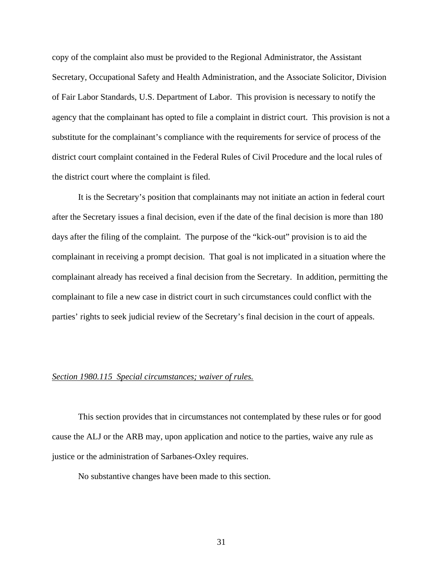copy of the complaint also must be provided to the Regional Administrator, the Assistant Secretary, Occupational Safety and Health Administration, and the Associate Solicitor, Division of Fair Labor Standards, U.S. Department of Labor. This provision is necessary to notify the agency that the complainant has opted to file a complaint in district court. This provision is not a substitute for the complainant's compliance with the requirements for service of process of the district court complaint contained in the Federal Rules of Civil Procedure and the local rules of the district court where the complaint is filed.

 It is the Secretary's position that complainants may not initiate an action in federal court after the Secretary issues a final decision, even if the date of the final decision is more than 180 days after the filing of the complaint. The purpose of the "kick-out" provision is to aid the complainant in receiving a prompt decision. That goal is not implicated in a situation where the complainant already has received a final decision from the Secretary. In addition, permitting the complainant to file a new case in district court in such circumstances could conflict with the parties' rights to seek judicial review of the Secretary's final decision in the court of appeals.

## *Section 1980.115 Special circumstances; waiver of rules.*

 This section provides that in circumstances not contemplated by these rules or for good cause the ALJ or the ARB may, upon application and notice to the parties, waive any rule as justice or the administration of Sarbanes-Oxley requires.

No substantive changes have been made to this section.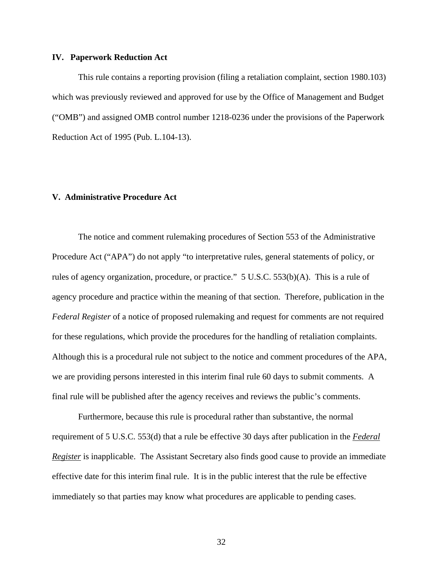#### **IV. Paperwork Reduction Act**

This rule contains a reporting provision (filing a retaliation complaint, section 1980.103) which was previously reviewed and approved for use by the Office of Management and Budget ("OMB") and assigned OMB control number 1218-0236 under the provisions of the Paperwork Reduction Act of 1995 (Pub. L.104-13).

# **V. Administrative Procedure Act**

 The notice and comment rulemaking procedures of Section 553 of the Administrative Procedure Act ("APA") do not apply "to interpretative rules, general statements of policy, or rules of agency organization, procedure, or practice."  $5 \text{ U.S.C. } 553(b)(\text{A})$ . This is a rule of agency procedure and practice within the meaning of that section. Therefore, publication in the *Federal Register* of a notice of proposed rulemaking and request for comments are not required for these regulations, which provide the procedures for the handling of retaliation complaints. Although this is a procedural rule not subject to the notice and comment procedures of the APA, we are providing persons interested in this interim final rule 60 days to submit comments. A final rule will be published after the agency receives and reviews the public's comments.

 Furthermore, because this rule is procedural rather than substantive, the normal requirement of 5 U.S.C. 553(d) that a rule be effective 30 days after publication in the *Federal Register* is inapplicable. The Assistant Secretary also finds good cause to provide an immediate effective date for this interim final rule. It is in the public interest that the rule be effective immediately so that parties may know what procedures are applicable to pending cases.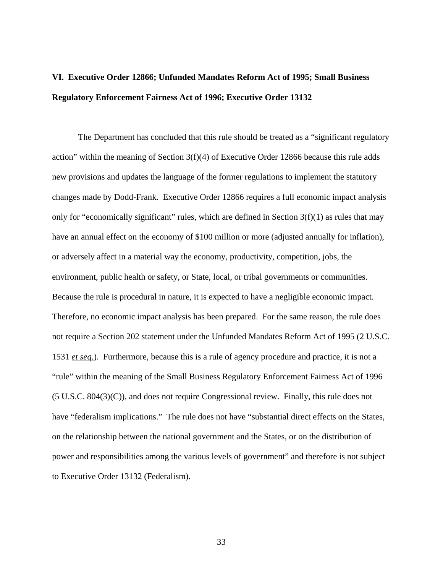# **VI. Executive Order 12866; Unfunded Mandates Reform Act of 1995; Small Business Regulatory Enforcement Fairness Act of 1996; Executive Order 13132**

 The Department has concluded that this rule should be treated as a "significant regulatory action" within the meaning of Section 3(f)(4) of Executive Order 12866 because this rule adds new provisions and updates the language of the former regulations to implement the statutory changes made by Dodd-Frank. Executive Order 12866 requires a full economic impact analysis only for "economically significant" rules, which are defined in Section  $3(f)(1)$  as rules that may have an annual effect on the economy of \$100 million or more (adjusted annually for inflation), or adversely affect in a material way the economy, productivity, competition, jobs, the environment, public health or safety, or State, local, or tribal governments or communities. Because the rule is procedural in nature, it is expected to have a negligible economic impact. Therefore, no economic impact analysis has been prepared. For the same reason, the rule does not require a Section 202 statement under the Unfunded Mandates Reform Act of 1995 (2 U.S.C. 1531 *et seq.*). Furthermore, because this is a rule of agency procedure and practice, it is not a "rule" within the meaning of the Small Business Regulatory Enforcement Fairness Act of 1996  $(5 \text{ U.S.C. } 804(3)(\text{C}))$ , and does not require Congressional review. Finally, this rule does not have "federalism implications." The rule does not have "substantial direct effects on the States, on the relationship between the national government and the States, or on the distribution of power and responsibilities among the various levels of government" and therefore is not subject to Executive Order 13132 (Federalism).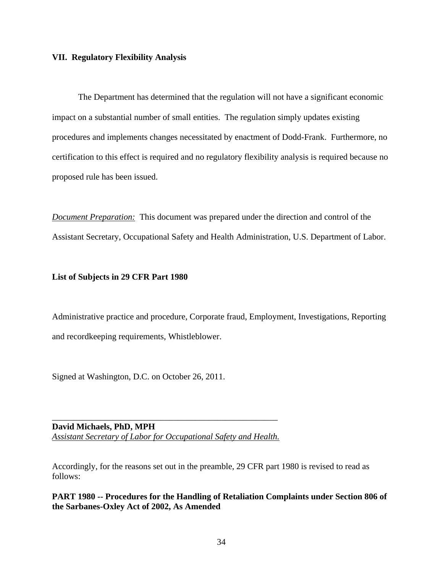### **VII. Regulatory Flexibility Analysis**

 The Department has determined that the regulation will not have a significant economic impact on a substantial number of small entities. The regulation simply updates existing procedures and implements changes necessitated by enactment of Dodd-Frank. Furthermore, no certification to this effect is required and no regulatory flexibility analysis is required because no proposed rule has been issued.

*Document Preparation:* This document was prepared under the direction and control of the Assistant Secretary, Occupational Safety and Health Administration, U.S. Department of Labor.

#### **List of Subjects in 29 CFR Part 1980**

Administrative practice and procedure, Corporate fraud, Employment, Investigations, Reporting and recordkeeping requirements, Whistleblower.

Signed at Washington, D.C. on October 26, 2011.

**David Michaels, PhD, MPH**  *Assistant Secretary of Labor for Occupational Safety and Health.*

\_\_\_\_\_\_\_\_\_\_\_\_\_\_\_\_\_\_\_\_\_\_\_\_\_\_\_\_\_\_\_\_\_\_\_\_\_\_\_\_\_\_\_\_\_\_\_\_\_\_\_\_

Accordingly, for the reasons set out in the preamble, 29 CFR part 1980 is revised to read as follows:

**PART 1980 -- Procedures for the Handling of Retaliation Complaints under Section 806 of the Sarbanes-Oxley Act of 2002, As Amended**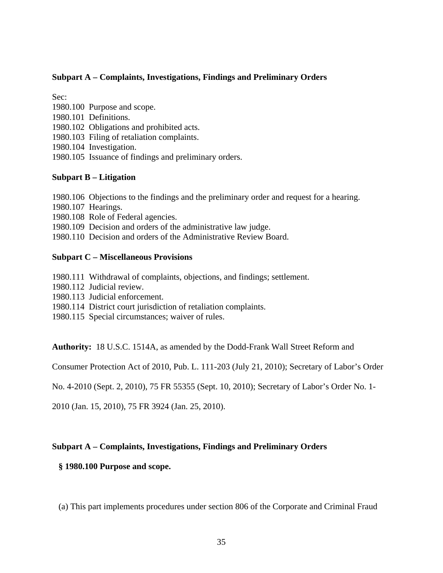# **Subpart A – Complaints, Investigations, Findings and Preliminary Orders**

Sec:

- 1980.100 Purpose and scope.
- 1980.101 Definitions.
- 1980.102 Obligations and prohibited acts.
- 1980.103 Filing of retaliation complaints.
- 1980.104 Investigation.
- 1980.105 Issuance of findings and preliminary orders.

# **Subpart B – Litigation**

1980.106 Objections to the findings and the preliminary order and request for a hearing.

- 1980.107 Hearings.
- 1980.108 Role of Federal agencies.

1980.109 Decision and orders of the administrative law judge.

1980.110 Decision and orders of the Administrative Review Board.

# **Subpart C – Miscellaneous Provisions**

- 1980.111 Withdrawal of complaints, objections, and findings; settlement.
- 1980.112 Judicial review.
- 1980.113 Judicial enforcement.
- 1980.114 District court jurisdiction of retaliation complaints.
- 1980.115 Special circumstances; waiver of rules.

**Authority:** 18 U.S.C. 1514A, as amended by the Dodd-Frank Wall Street Reform and

Consumer Protection Act of 2010, Pub. L. 111-203 (July 21, 2010); Secretary of Labor's Order

No. 4-2010 (Sept. 2, 2010), 75 FR 55355 (Sept. 10, 2010); Secretary of Labor's Order No. 1-

2010 (Jan. 15, 2010), 75 FR 3924 (Jan. 25, 2010).

# **Subpart A – Complaints, Investigations, Findings and Preliminary Orders**

# **§ 1980.100 Purpose and scope.**

(a) This part implements procedures under section 806 of the Corporate and Criminal Fraud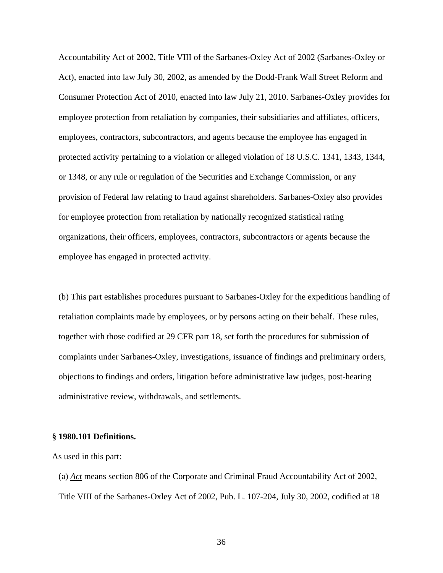Accountability Act of 2002, Title VIII of the Sarbanes-Oxley Act of 2002 (Sarbanes-Oxley or Act), enacted into law July 30, 2002, as amended by the Dodd-Frank Wall Street Reform and Consumer Protection Act of 2010, enacted into law July 21, 2010. Sarbanes-Oxley provides for employee protection from retaliation by companies, their subsidiaries and affiliates, officers, employees, contractors, subcontractors, and agents because the employee has engaged in protected activity pertaining to a violation or alleged violation of 18 U.S.C. 1341, 1343, 1344, or 1348, or any rule or regulation of the Securities and Exchange Commission, or any provision of Federal law relating to fraud against shareholders. Sarbanes-Oxley also provides for employee protection from retaliation by nationally recognized statistical rating organizations, their officers, employees, contractors, subcontractors or agents because the employee has engaged in protected activity.

(b) This part establishes procedures pursuant to Sarbanes-Oxley for the expeditious handling of retaliation complaints made by employees, or by persons acting on their behalf. These rules, together with those codified at 29 CFR part 18, set forth the procedures for submission of complaints under Sarbanes-Oxley, investigations, issuance of findings and preliminary orders, objections to findings and orders, litigation before administrative law judges, post-hearing administrative review, withdrawals, and settlements.

#### **§ 1980.101 Definitions.**

As used in this part:

(a) *Act* means section 806 of the Corporate and Criminal Fraud Accountability Act of 2002, Title VIII of the Sarbanes-Oxley Act of 2002, Pub. L. 107-204, July 30, 2002, codified at 18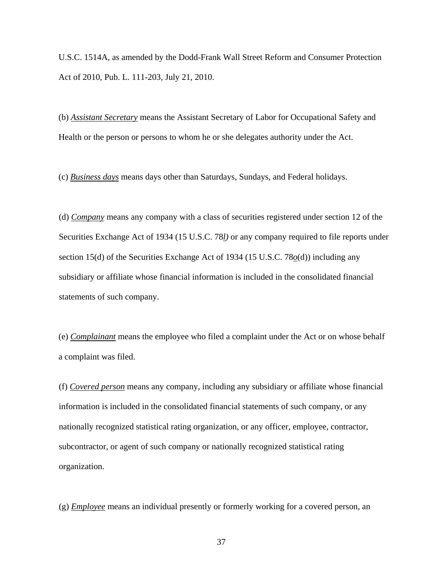U.S.C. 1514A, as amended by the Dodd-Frank Wall Street Reform and Consumer Protection Act of 2010, Pub. L. 111-203, July 21, 2010.

(b) *Assistant Secretary* means the Assistant Secretary of Labor for Occupational Safety and Health or the person or persons to whom he or she delegates authority under the Act.

(c) *Business days* means days other than Saturdays, Sundays, and Federal holidays.

(d) *Company* means any company with a class of securities registered under section 12 of the Securities Exchange Act of 1934 (15 U.S.C. 78*l)* or any company required to file reports under section 15(d) of the Securities Exchange Act of 1934 (15 U.S.C. 78*o*(d)) including any subsidiary or affiliate whose financial information is included in the consolidated financial statements of such company.

(e) *Complainant* means the employee who filed a complaint under the Act or on whose behalf a complaint was filed.

(f) *Covered person* means any company, including any subsidiary or affiliate whose financial information is included in the consolidated financial statements of such company, or any nationally recognized statistical rating organization, or any officer, employee, contractor, subcontractor, or agent of such company or nationally recognized statistical rating organization.

(g) *Employee* means an individual presently or formerly working for a covered person, an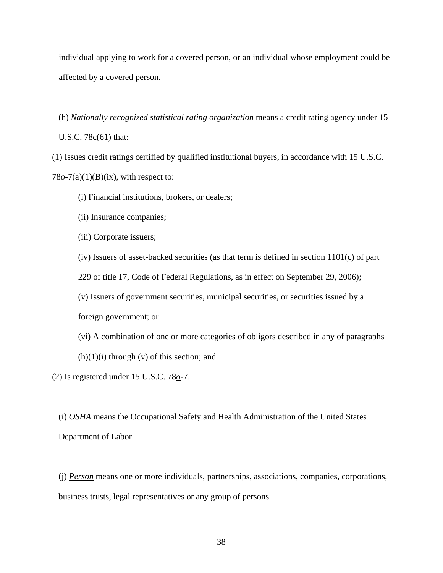individual applying to work for a covered person, or an individual whose employment could be affected by a covered person.

(h) *Nationally recognized statistical rating organization* means a credit rating agency under 15

U.S.C. 78c(61) that:

(1) Issues credit ratings certified by qualified institutional buyers, in accordance with 15 U.S.C.

 $78<sub>0</sub> - 7(a)(1)(B)(ix)$ , with respect to:

- (i) Financial institutions, brokers, or dealers;
- (ii) Insurance companies;
- (iii) Corporate issuers;
- (iv) Issuers of asset-backed securities (as that term is defined in section 1101(c) of part

229 of title 17, Code of Federal Regulations, as in effect on September 29, 2006);

(v) Issuers of government securities, municipal securities, or securities issued by a

foreign government; or

- (vi) A combination of one or more categories of obligors described in any of paragraphs
- $(h)(1)(i)$  through  $(v)$  of this section; and

(2) Is registered under 15 U.S.C. 78*o*-7.

(i) *OSHA* means the Occupational Safety and Health Administration of the United States Department of Labor.

(j) *Person* means one or more individuals, partnerships, associations, companies, corporations, business trusts, legal representatives or any group of persons.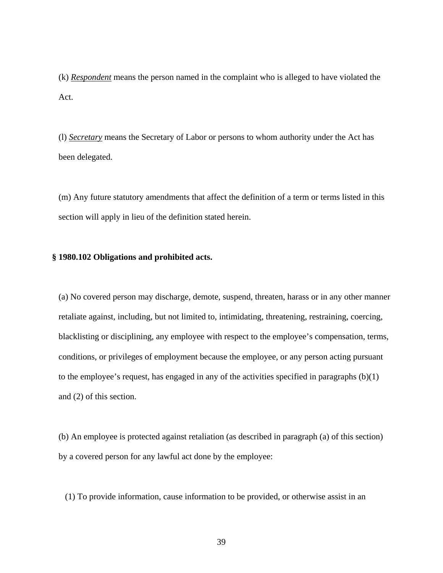(k) *Respondent* means the person named in the complaint who is alleged to have violated the Act.

(l) *Secretary* means the Secretary of Labor or persons to whom authority under the Act has been delegated.

(m) Any future statutory amendments that affect the definition of a term or terms listed in this section will apply in lieu of the definition stated herein.

# **§ 1980.102 Obligations and prohibited acts.**

(a) No covered person may discharge, demote, suspend, threaten, harass or in any other manner retaliate against, including, but not limited to, intimidating, threatening, restraining, coercing, blacklisting or disciplining, any employee with respect to the employee's compensation, terms, conditions, or privileges of employment because the employee, or any person acting pursuant to the employee's request, has engaged in any of the activities specified in paragraphs (b)(1) and (2) of this section.

(b) An employee is protected against retaliation (as described in paragraph (a) of this section) by a covered person for any lawful act done by the employee:

(1) To provide information, cause information to be provided, or otherwise assist in an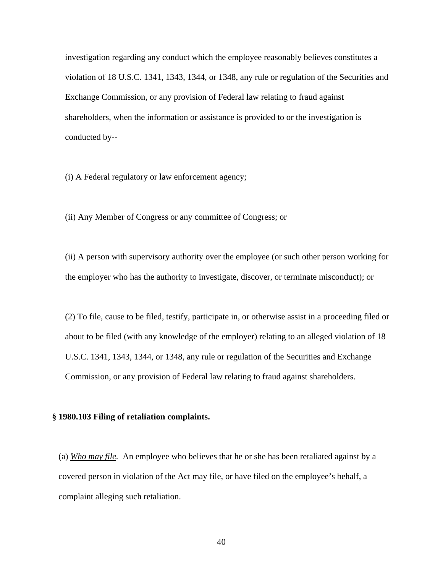investigation regarding any conduct which the employee reasonably believes constitutes a violation of 18 U.S.C. 1341, 1343, 1344, or 1348, any rule or regulation of the Securities and Exchange Commission, or any provision of Federal law relating to fraud against shareholders, when the information or assistance is provided to or the investigation is conducted by--

(i) A Federal regulatory or law enforcement agency;

(ii) Any Member of Congress or any committee of Congress; or

(ii) A person with supervisory authority over the employee (or such other person working for the employer who has the authority to investigate, discover, or terminate misconduct); or

(2) To file, cause to be filed, testify, participate in, or otherwise assist in a proceeding filed or about to be filed (with any knowledge of the employer) relating to an alleged violation of 18 U.S.C. 1341, 1343, 1344, or 1348, any rule or regulation of the Securities and Exchange Commission, or any provision of Federal law relating to fraud against shareholders.

#### **§ 1980.103 Filing of retaliation complaints.**

(a) *Who may file.* An employee who believes that he or she has been retaliated against by a covered person in violation of the Act may file, or have filed on the employee's behalf, a complaint alleging such retaliation.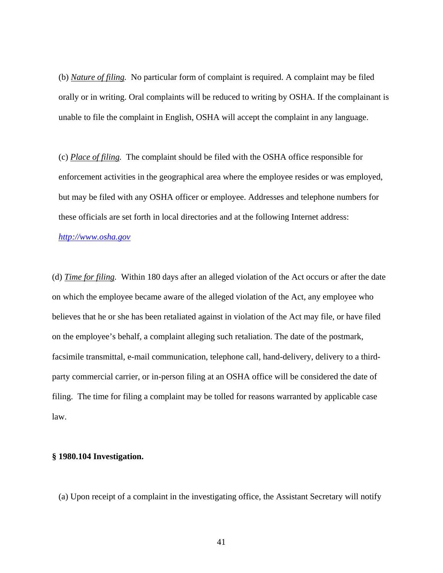(b) *Nature of filing.* No particular form of complaint is required. A complaint may be filed orally or in writing. Oral complaints will be reduced to writing by OSHA. If the complainant is unable to file the complaint in English, OSHA will accept the complaint in any language.

(c) *Place of filing.* The complaint should be filed with the OSHA office responsible for enforcement activities in the geographical area where the employee resides or was employed, but may be filed with any OSHA officer or employee. Addresses and telephone numbers for these officials are set forth in local directories and at the following Internet address:

*http://www.osha.gov*

(d) *Time for filing.* Within 180 days after an alleged violation of the Act occurs or after the date on which the employee became aware of the alleged violation of the Act, any employee who believes that he or she has been retaliated against in violation of the Act may file, or have filed on the employee's behalf, a complaint alleging such retaliation. The date of the postmark, facsimile transmittal, e-mail communication, telephone call, hand-delivery, delivery to a thirdparty commercial carrier, or in-person filing at an OSHA office will be considered the date of filing. The time for filing a complaint may be tolled for reasons warranted by applicable case law.

# **§ 1980.104 Investigation.**

(a) Upon receipt of a complaint in the investigating office, the Assistant Secretary will notify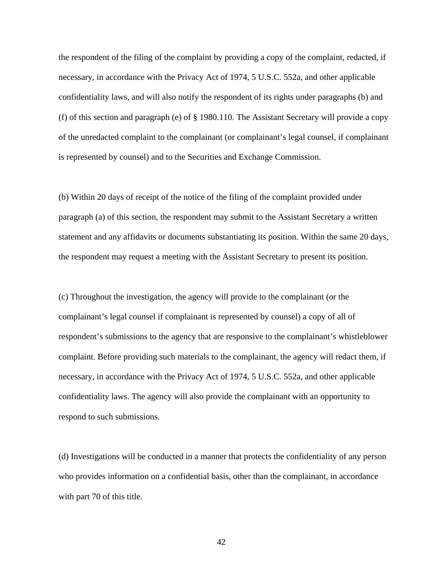the respondent of the filing of the complaint by providing a copy of the complaint, redacted, if necessary, in accordance with the Privacy Act of 1974, 5 U.S.C. 552a, and other applicable confidentiality laws, and will also notify the respondent of its rights under paragraphs (b) and (f) of this section and paragraph (e) of § 1980.110. The Assistant Secretary will provide a copy of the unredacted complaint to the complainant (or complainant's legal counsel, if complainant is represented by counsel) and to the Securities and Exchange Commission.

(b) Within 20 days of receipt of the notice of the filing of the complaint provided under paragraph (a) of this section, the respondent may submit to the Assistant Secretary a written statement and any affidavits or documents substantiating its position. Within the same 20 days, the respondent may request a meeting with the Assistant Secretary to present its position.

(c) Throughout the investigation, the agency will provide to the complainant (or the complainant's legal counsel if complainant is represented by counsel) a copy of all of respondent's submissions to the agency that are responsive to the complainant's whistleblower complaint. Before providing such materials to the complainant, the agency will redact them, if necessary, in accordance with the Privacy Act of 1974, 5 U.S.C. 552a, and other applicable confidentiality laws. The agency will also provide the complainant with an opportunity to respond to such submissions.

(d) Investigations will be conducted in a manner that protects the confidentiality of any person who provides information on a confidential basis, other than the complainant, in accordance with part 70 of this title.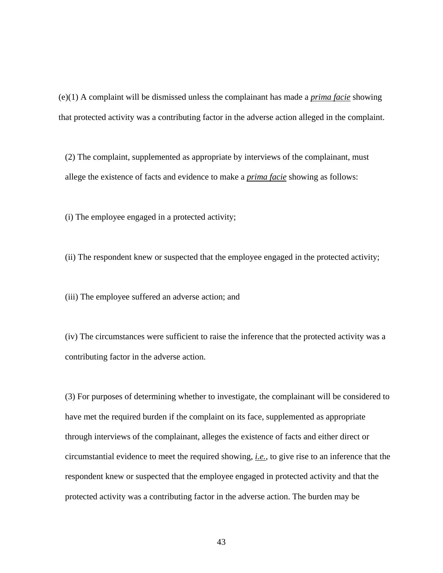(e)(1) A complaint will be dismissed unless the complainant has made a *prima facie* showing that protected activity was a contributing factor in the adverse action alleged in the complaint.

(2) The complaint, supplemented as appropriate by interviews of the complainant, must allege the existence of facts and evidence to make a *prima facie* showing as follows:

(i) The employee engaged in a protected activity;

(ii) The respondent knew or suspected that the employee engaged in the protected activity;

(iii) The employee suffered an adverse action; and

(iv) The circumstances were sufficient to raise the inference that the protected activity was a contributing factor in the adverse action.

(3) For purposes of determining whether to investigate, the complainant will be considered to have met the required burden if the complaint on its face, supplemented as appropriate through interviews of the complainant, alleges the existence of facts and either direct or circumstantial evidence to meet the required showing, *i.e.*, to give rise to an inference that the respondent knew or suspected that the employee engaged in protected activity and that the protected activity was a contributing factor in the adverse action. The burden may be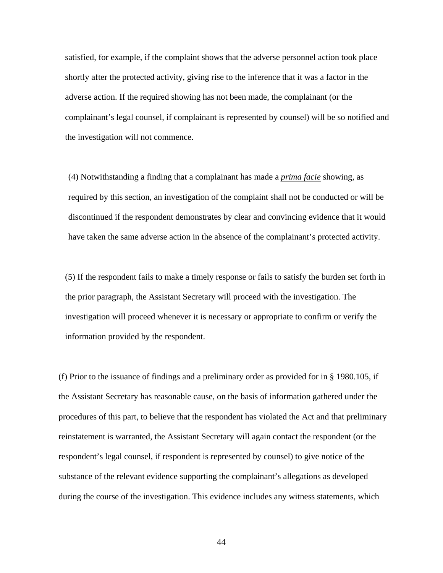satisfied, for example, if the complaint shows that the adverse personnel action took place shortly after the protected activity, giving rise to the inference that it was a factor in the adverse action. If the required showing has not been made, the complainant (or the complainant's legal counsel, if complainant is represented by counsel) will be so notified and the investigation will not commence.

(4) Notwithstanding a finding that a complainant has made a *prima facie* showing, as required by this section, an investigation of the complaint shall not be conducted or will be discontinued if the respondent demonstrates by clear and convincing evidence that it would have taken the same adverse action in the absence of the complainant's protected activity.

(5) If the respondent fails to make a timely response or fails to satisfy the burden set forth in the prior paragraph, the Assistant Secretary will proceed with the investigation. The investigation will proceed whenever it is necessary or appropriate to confirm or verify the information provided by the respondent.

(f) Prior to the issuance of findings and a preliminary order as provided for in § 1980.105, if the Assistant Secretary has reasonable cause, on the basis of information gathered under the procedures of this part, to believe that the respondent has violated the Act and that preliminary reinstatement is warranted, the Assistant Secretary will again contact the respondent (or the respondent's legal counsel, if respondent is represented by counsel) to give notice of the substance of the relevant evidence supporting the complainant's allegations as developed during the course of the investigation. This evidence includes any witness statements, which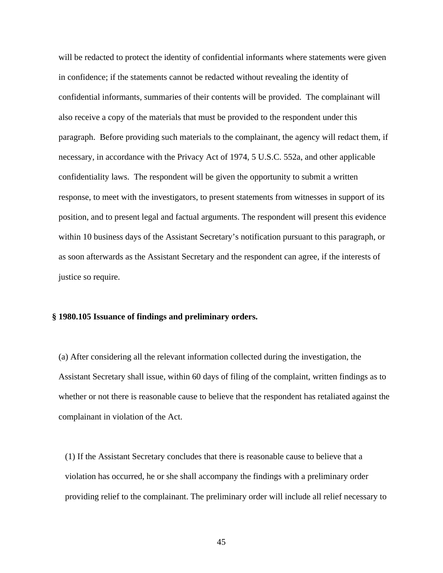will be redacted to protect the identity of confidential informants where statements were given in confidence; if the statements cannot be redacted without revealing the identity of confidential informants, summaries of their contents will be provided. The complainant will also receive a copy of the materials that must be provided to the respondent under this paragraph. Before providing such materials to the complainant, the agency will redact them, if necessary, in accordance with the Privacy Act of 1974, 5 U.S.C. 552a, and other applicable confidentiality laws. The respondent will be given the opportunity to submit a written response, to meet with the investigators, to present statements from witnesses in support of its position, and to present legal and factual arguments. The respondent will present this evidence within 10 business days of the Assistant Secretary's notification pursuant to this paragraph, or as soon afterwards as the Assistant Secretary and the respondent can agree, if the interests of justice so require.

## **§ 1980.105 Issuance of findings and preliminary orders.**

(a) After considering all the relevant information collected during the investigation, the Assistant Secretary shall issue, within 60 days of filing of the complaint, written findings as to whether or not there is reasonable cause to believe that the respondent has retaliated against the complainant in violation of the Act.

(1) If the Assistant Secretary concludes that there is reasonable cause to believe that a violation has occurred, he or she shall accompany the findings with a preliminary order providing relief to the complainant. The preliminary order will include all relief necessary to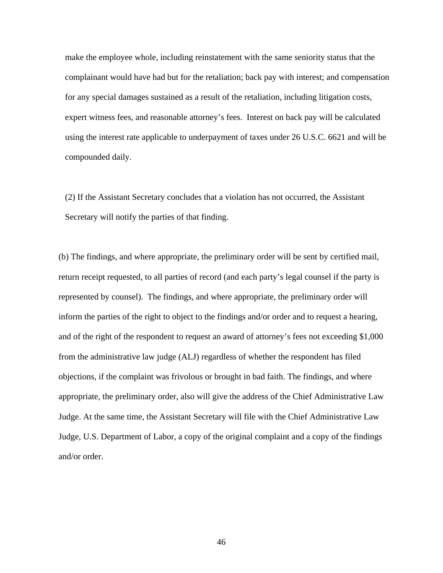make the employee whole, including reinstatement with the same seniority status that the complainant would have had but for the retaliation; back pay with interest; and compensation for any special damages sustained as a result of the retaliation, including litigation costs, expert witness fees, and reasonable attorney's fees. Interest on back pay will be calculated using the interest rate applicable to underpayment of taxes under 26 U.S.C. 6621 and will be compounded daily.

(2) If the Assistant Secretary concludes that a violation has not occurred, the Assistant Secretary will notify the parties of that finding.

(b) The findings, and where appropriate, the preliminary order will be sent by certified mail, return receipt requested, to all parties of record (and each party's legal counsel if the party is represented by counsel). The findings, and where appropriate, the preliminary order will inform the parties of the right to object to the findings and/or order and to request a hearing, and of the right of the respondent to request an award of attorney's fees not exceeding \$1,000 from the administrative law judge (ALJ) regardless of whether the respondent has filed objections, if the complaint was frivolous or brought in bad faith. The findings, and where appropriate, the preliminary order, also will give the address of the Chief Administrative Law Judge. At the same time, the Assistant Secretary will file with the Chief Administrative Law Judge, U.S. Department of Labor, a copy of the original complaint and a copy of the findings and/or order.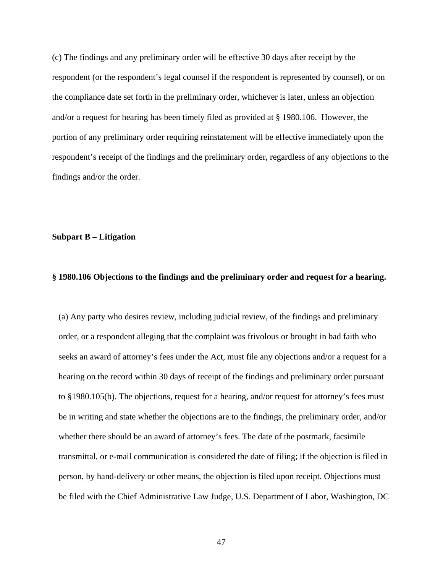(c) The findings and any preliminary order will be effective 30 days after receipt by the respondent (or the respondent's legal counsel if the respondent is represented by counsel), or on the compliance date set forth in the preliminary order, whichever is later, unless an objection and/or a request for hearing has been timely filed as provided at § 1980.106. However, the portion of any preliminary order requiring reinstatement will be effective immediately upon the respondent's receipt of the findings and the preliminary order, regardless of any objections to the findings and/or the order.

### **Subpart B – Litigation**

## **§ 1980.106 Objections to the findings and the preliminary order and request for a hearing.**

(a) Any party who desires review, including judicial review, of the findings and preliminary order, or a respondent alleging that the complaint was frivolous or brought in bad faith who seeks an award of attorney's fees under the Act, must file any objections and/or a request for a hearing on the record within 30 days of receipt of the findings and preliminary order pursuant to §1980.105(b). The objections, request for a hearing, and/or request for attorney's fees must be in writing and state whether the objections are to the findings, the preliminary order, and/or whether there should be an award of attorney's fees. The date of the postmark, facsimile transmittal, or e-mail communication is considered the date of filing; if the objection is filed in person, by hand-delivery or other means, the objection is filed upon receipt. Objections must be filed with the Chief Administrative Law Judge, U.S. Department of Labor, Washington, DC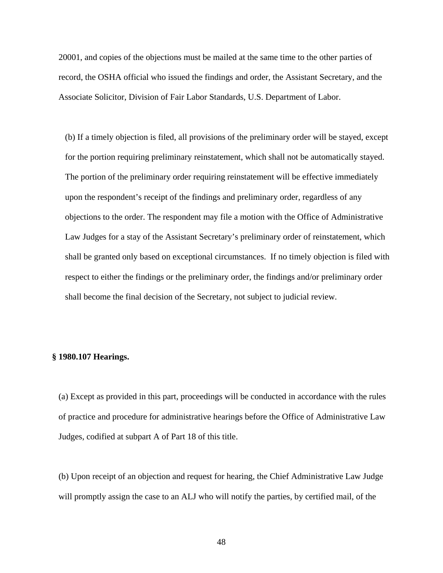20001, and copies of the objections must be mailed at the same time to the other parties of record, the OSHA official who issued the findings and order, the Assistant Secretary, and the Associate Solicitor, Division of Fair Labor Standards, U.S. Department of Labor.

(b) If a timely objection is filed, all provisions of the preliminary order will be stayed, except for the portion requiring preliminary reinstatement, which shall not be automatically stayed. The portion of the preliminary order requiring reinstatement will be effective immediately upon the respondent's receipt of the findings and preliminary order, regardless of any objections to the order. The respondent may file a motion with the Office of Administrative Law Judges for a stay of the Assistant Secretary's preliminary order of reinstatement, which shall be granted only based on exceptional circumstances. If no timely objection is filed with respect to either the findings or the preliminary order, the findings and/or preliminary order shall become the final decision of the Secretary, not subject to judicial review.

# **§ 1980.107 Hearings.**

(a) Except as provided in this part, proceedings will be conducted in accordance with the rules of practice and procedure for administrative hearings before the Office of Administrative Law Judges, codified at subpart A of Part 18 of this title.

(b) Upon receipt of an objection and request for hearing, the Chief Administrative Law Judge will promptly assign the case to an ALJ who will notify the parties, by certified mail, of the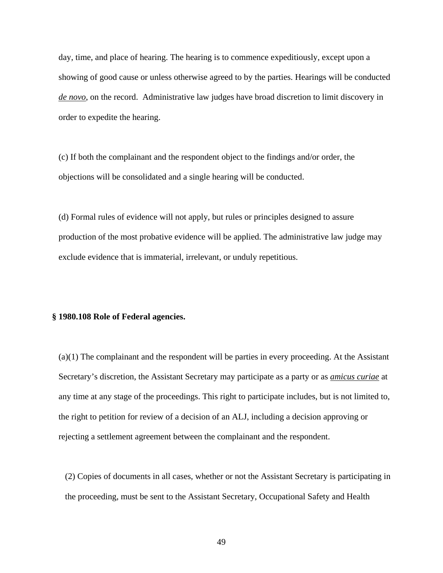day, time, and place of hearing. The hearing is to commence expeditiously, except upon a showing of good cause or unless otherwise agreed to by the parties. Hearings will be conducted *de novo*, on the record. Administrative law judges have broad discretion to limit discovery in order to expedite the hearing.

(c) If both the complainant and the respondent object to the findings and/or order, the objections will be consolidated and a single hearing will be conducted.

(d) Formal rules of evidence will not apply, but rules or principles designed to assure production of the most probative evidence will be applied. The administrative law judge may exclude evidence that is immaterial, irrelevant, or unduly repetitious.

#### **§ 1980.108 Role of Federal agencies.**

(a)(1) The complainant and the respondent will be parties in every proceeding. At the Assistant Secretary's discretion, the Assistant Secretary may participate as a party or as *amicus curiae* at any time at any stage of the proceedings. This right to participate includes, but is not limited to, the right to petition for review of a decision of an ALJ, including a decision approving or rejecting a settlement agreement between the complainant and the respondent.

(2) Copies of documents in all cases, whether or not the Assistant Secretary is participating in the proceeding, must be sent to the Assistant Secretary, Occupational Safety and Health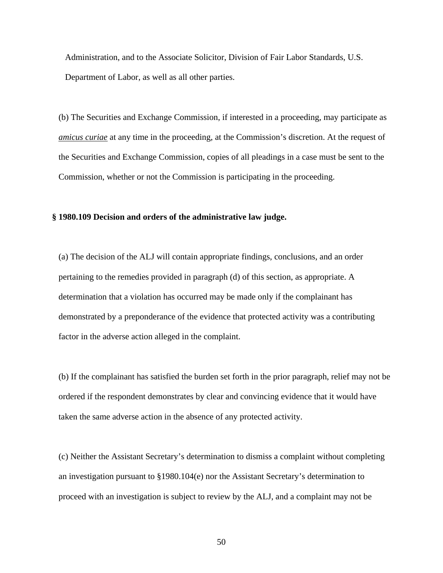Administration, and to the Associate Solicitor, Division of Fair Labor Standards, U.S. Department of Labor, as well as all other parties.

(b) The Securities and Exchange Commission, if interested in a proceeding, may participate as *amicus curiae* at any time in the proceeding, at the Commission's discretion. At the request of the Securities and Exchange Commission, copies of all pleadings in a case must be sent to the Commission, whether or not the Commission is participating in the proceeding.

# **§ 1980.109 Decision and orders of the administrative law judge.**

(a) The decision of the ALJ will contain appropriate findings, conclusions, and an order pertaining to the remedies provided in paragraph (d) of this section, as appropriate. A determination that a violation has occurred may be made only if the complainant has demonstrated by a preponderance of the evidence that protected activity was a contributing factor in the adverse action alleged in the complaint.

(b) If the complainant has satisfied the burden set forth in the prior paragraph, relief may not be ordered if the respondent demonstrates by clear and convincing evidence that it would have taken the same adverse action in the absence of any protected activity.

(c) Neither the Assistant Secretary's determination to dismiss a complaint without completing an investigation pursuant to  $\S 1980.104(e)$  nor the Assistant Secretary's determination to proceed with an investigation is subject to review by the ALJ, and a complaint may not be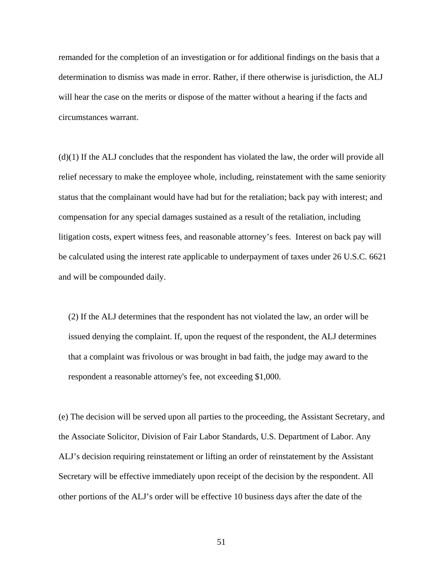remanded for the completion of an investigation or for additional findings on the basis that a determination to dismiss was made in error. Rather, if there otherwise is jurisdiction, the ALJ will hear the case on the merits or dispose of the matter without a hearing if the facts and circumstances warrant.

(d)(1) If the ALJ concludes that the respondent has violated the law, the order will provide all relief necessary to make the employee whole, including, reinstatement with the same seniority status that the complainant would have had but for the retaliation; back pay with interest; and compensation for any special damages sustained as a result of the retaliation, including litigation costs, expert witness fees, and reasonable attorney's fees. Interest on back pay will be calculated using the interest rate applicable to underpayment of taxes under 26 U.S.C. 6621 and will be compounded daily.

(2) If the ALJ determines that the respondent has not violated the law, an order will be issued denying the complaint. If, upon the request of the respondent, the ALJ determines that a complaint was frivolous or was brought in bad faith, the judge may award to the respondent a reasonable attorney's fee, not exceeding \$1,000.

(e) The decision will be served upon all parties to the proceeding, the Assistant Secretary, and the Associate Solicitor, Division of Fair Labor Standards, U.S. Department of Labor. Any ALJ's decision requiring reinstatement or lifting an order of reinstatement by the Assistant Secretary will be effective immediately upon receipt of the decision by the respondent. All other portions of the ALJ's order will be effective 10 business days after the date of the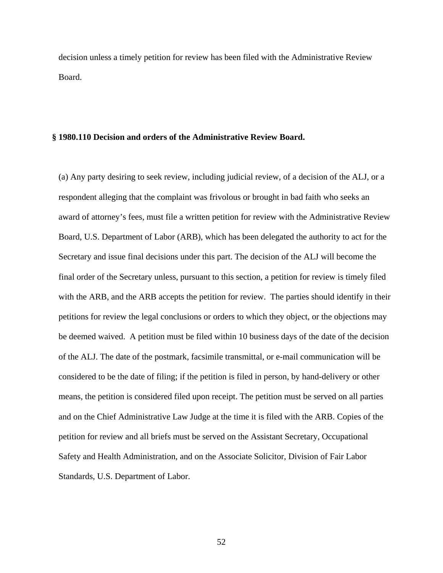decision unless a timely petition for review has been filed with the Administrative Review Board.

#### **§ 1980.110 Decision and orders of the Administrative Review Board.**

(a) Any party desiring to seek review, including judicial review, of a decision of the ALJ, or a respondent alleging that the complaint was frivolous or brought in bad faith who seeks an award of attorney's fees, must file a written petition for review with the Administrative Review Board, U.S. Department of Labor (ARB), which has been delegated the authority to act for the Secretary and issue final decisions under this part. The decision of the ALJ will become the final order of the Secretary unless, pursuant to this section, a petition for review is timely filed with the ARB, and the ARB accepts the petition for review. The parties should identify in their petitions for review the legal conclusions or orders to which they object, or the objections may be deemed waived. A petition must be filed within 10 business days of the date of the decision of the ALJ. The date of the postmark, facsimile transmittal, or e-mail communication will be considered to be the date of filing; if the petition is filed in person, by hand-delivery or other means, the petition is considered filed upon receipt. The petition must be served on all parties and on the Chief Administrative Law Judge at the time it is filed with the ARB. Copies of the petition for review and all briefs must be served on the Assistant Secretary, Occupational Safety and Health Administration, and on the Associate Solicitor, Division of Fair Labor Standards, U.S. Department of Labor.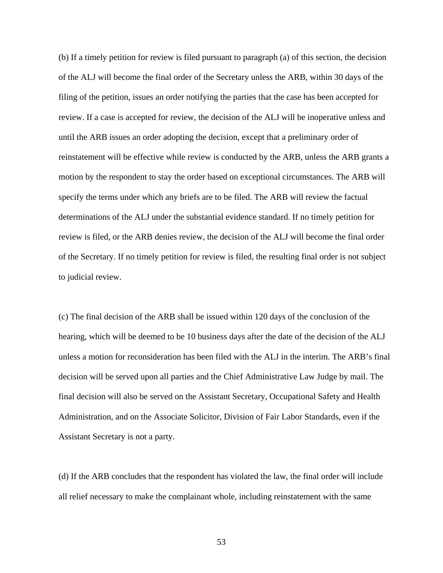(b) If a timely petition for review is filed pursuant to paragraph (a) of this section, the decision of the ALJ will become the final order of the Secretary unless the ARB, within 30 days of the filing of the petition, issues an order notifying the parties that the case has been accepted for review. If a case is accepted for review, the decision of the ALJ will be inoperative unless and until the ARB issues an order adopting the decision, except that a preliminary order of reinstatement will be effective while review is conducted by the ARB, unless the ARB grants a motion by the respondent to stay the order based on exceptional circumstances. The ARB will specify the terms under which any briefs are to be filed. The ARB will review the factual determinations of the ALJ under the substantial evidence standard. If no timely petition for review is filed, or the ARB denies review, the decision of the ALJ will become the final order of the Secretary. If no timely petition for review is filed, the resulting final order is not subject to judicial review.

(c) The final decision of the ARB shall be issued within 120 days of the conclusion of the hearing, which will be deemed to be 10 business days after the date of the decision of the ALJ unless a motion for reconsideration has been filed with the ALJ in the interim. The ARB's final decision will be served upon all parties and the Chief Administrative Law Judge by mail. The final decision will also be served on the Assistant Secretary, Occupational Safety and Health Administration, and on the Associate Solicitor, Division of Fair Labor Standards, even if the Assistant Secretary is not a party.

(d) If the ARB concludes that the respondent has violated the law, the final order will include all relief necessary to make the complainant whole, including reinstatement with the same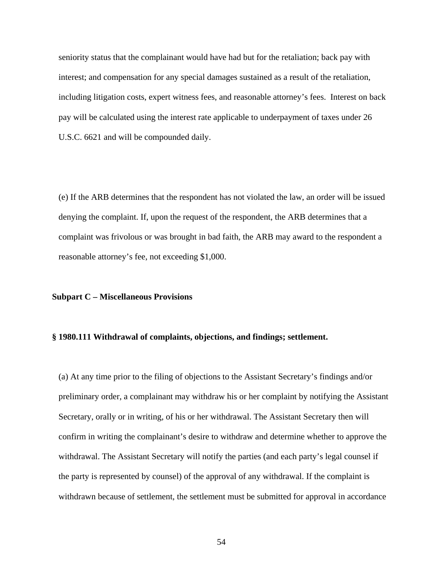seniority status that the complainant would have had but for the retaliation; back pay with interest; and compensation for any special damages sustained as a result of the retaliation, including litigation costs, expert witness fees, and reasonable attorney's fees. Interest on back pay will be calculated using the interest rate applicable to underpayment of taxes under 26 U.S.C. 6621 and will be compounded daily.

(e) If the ARB determines that the respondent has not violated the law, an order will be issued denying the complaint. If, upon the request of the respondent, the ARB determines that a complaint was frivolous or was brought in bad faith, the ARB may award to the respondent a reasonable attorney's fee, not exceeding \$1,000.

#### **Subpart C – Miscellaneous Provisions**

#### **§ 1980.111 Withdrawal of complaints, objections, and findings; settlement.**

(a) At any time prior to the filing of objections to the Assistant Secretary's findings and/or preliminary order, a complainant may withdraw his or her complaint by notifying the Assistant Secretary, orally or in writing, of his or her withdrawal. The Assistant Secretary then will confirm in writing the complainant's desire to withdraw and determine whether to approve the withdrawal. The Assistant Secretary will notify the parties (and each party's legal counsel if the party is represented by counsel) of the approval of any withdrawal. If the complaint is withdrawn because of settlement, the settlement must be submitted for approval in accordance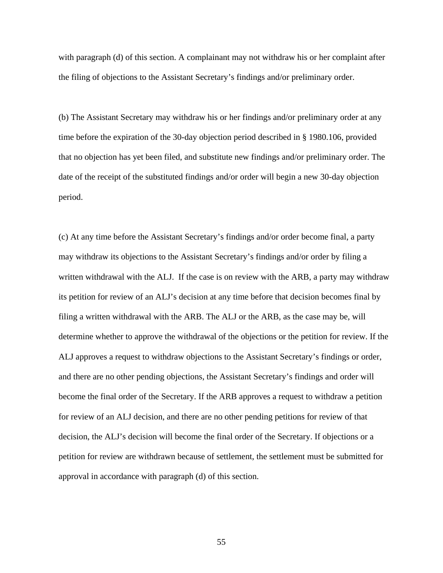with paragraph (d) of this section. A complainant may not withdraw his or her complaint after the filing of objections to the Assistant Secretary's findings and/or preliminary order.

(b) The Assistant Secretary may withdraw his or her findings and/or preliminary order at any time before the expiration of the 30-day objection period described in § 1980.106, provided that no objection has yet been filed, and substitute new findings and/or preliminary order. The date of the receipt of the substituted findings and/or order will begin a new 30-day objection period.

(c) At any time before the Assistant Secretary's findings and/or order become final, a party may withdraw its objections to the Assistant Secretary's findings and/or order by filing a written withdrawal with the ALJ. If the case is on review with the ARB, a party may withdraw its petition for review of an ALJ's decision at any time before that decision becomes final by filing a written withdrawal with the ARB. The ALJ or the ARB, as the case may be, will determine whether to approve the withdrawal of the objections or the petition for review. If the ALJ approves a request to withdraw objections to the Assistant Secretary's findings or order, and there are no other pending objections, the Assistant Secretary's findings and order will become the final order of the Secretary. If the ARB approves a request to withdraw a petition for review of an ALJ decision, and there are no other pending petitions for review of that decision, the ALJ's decision will become the final order of the Secretary. If objections or a petition for review are withdrawn because of settlement, the settlement must be submitted for approval in accordance with paragraph (d) of this section.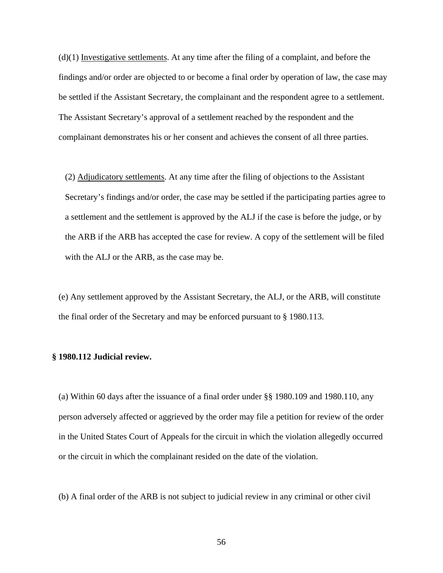$(d)(1)$  Investigative settlements. At any time after the filing of a complaint, and before the findings and/or order are objected to or become a final order by operation of law, the case may be settled if the Assistant Secretary, the complainant and the respondent agree to a settlement. The Assistant Secretary's approval of a settlement reached by the respondent and the complainant demonstrates his or her consent and achieves the consent of all three parties.

(2) Adjudicatory settlements. At any time after the filing of objections to the Assistant Secretary's findings and/or order, the case may be settled if the participating parties agree to a settlement and the settlement is approved by the ALJ if the case is before the judge, or by the ARB if the ARB has accepted the case for review. A copy of the settlement will be filed with the ALJ or the ARB, as the case may be.

(e) Any settlement approved by the Assistant Secretary, the ALJ, or the ARB, will constitute the final order of the Secretary and may be enforced pursuant to § 1980.113.

#### **§ 1980.112 Judicial review.**

(a) Within 60 days after the issuance of a final order under §§ 1980.109 and 1980.110, any person adversely affected or aggrieved by the order may file a petition for review of the order in the United States Court of Appeals for the circuit in which the violation allegedly occurred or the circuit in which the complainant resided on the date of the violation.

(b) A final order of the ARB is not subject to judicial review in any criminal or other civil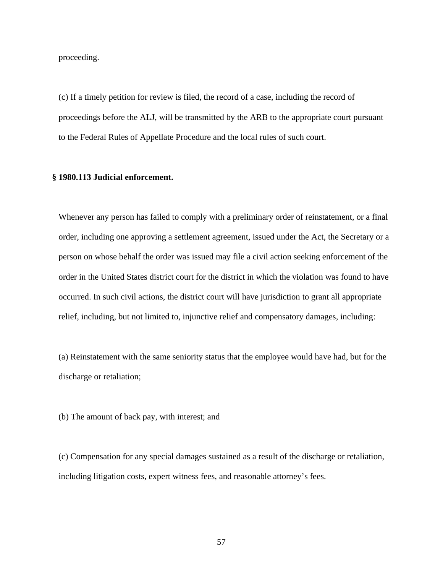proceeding.

(c) If a timely petition for review is filed, the record of a case, including the record of proceedings before the ALJ, will be transmitted by the ARB to the appropriate court pursuant to the Federal Rules of Appellate Procedure and the local rules of such court.

#### **§ 1980.113 Judicial enforcement.**

Whenever any person has failed to comply with a preliminary order of reinstatement, or a final order, including one approving a settlement agreement, issued under the Act, the Secretary or a person on whose behalf the order was issued may file a civil action seeking enforcement of the order in the United States district court for the district in which the violation was found to have occurred. In such civil actions, the district court will have jurisdiction to grant all appropriate relief, including, but not limited to, injunctive relief and compensatory damages, including:

(a) Reinstatement with the same seniority status that the employee would have had, but for the discharge or retaliation;

(b) The amount of back pay, with interest; and

(c) Compensation for any special damages sustained as a result of the discharge or retaliation, including litigation costs, expert witness fees, and reasonable attorney's fees.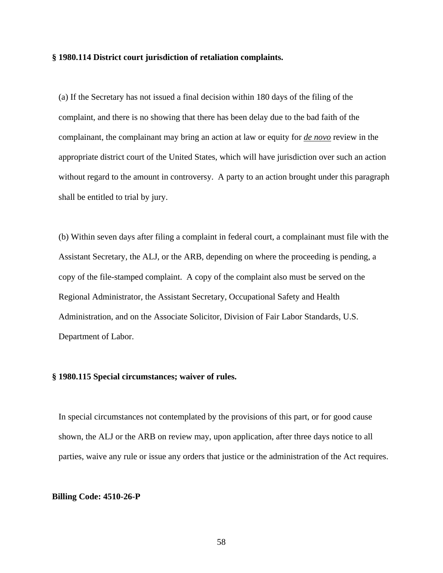### **§ 1980.114 District court jurisdiction of retaliation complaints.**

(a) If the Secretary has not issued a final decision within 180 days of the filing of the complaint, and there is no showing that there has been delay due to the bad faith of the complainant, the complainant may bring an action at law or equity for *de novo* review in the appropriate district court of the United States, which will have jurisdiction over such an action without regard to the amount in controversy. A party to an action brought under this paragraph shall be entitled to trial by jury.

(b) Within seven days after filing a complaint in federal court, a complainant must file with the Assistant Secretary, the ALJ, or the ARB, depending on where the proceeding is pending, a copy of the file-stamped complaint. A copy of the complaint also must be served on the Regional Administrator, the Assistant Secretary, Occupational Safety and Health Administration, and on the Associate Solicitor, Division of Fair Labor Standards, U.S. Department of Labor.

## **§ 1980.115 Special circumstances; waiver of rules.**

In special circumstances not contemplated by the provisions of this part, or for good cause shown, the ALJ or the ARB on review may, upon application, after three days notice to all parties, waive any rule or issue any orders that justice or the administration of the Act requires.

#### **Billing Code: 4510-26-P**